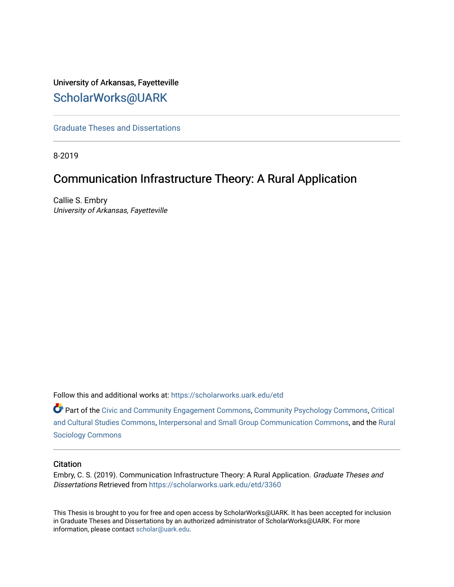# University of Arkansas, Fayetteville [ScholarWorks@UARK](https://scholarworks.uark.edu/)

[Graduate Theses and Dissertations](https://scholarworks.uark.edu/etd) 

8-2019

# Communication Infrastructure Theory: A Rural Application

Callie S. Embry University of Arkansas, Fayetteville

Follow this and additional works at: [https://scholarworks.uark.edu/etd](https://scholarworks.uark.edu/etd?utm_source=scholarworks.uark.edu%2Fetd%2F3360&utm_medium=PDF&utm_campaign=PDFCoverPages)

Part of the [Civic and Community Engagement Commons](http://network.bepress.com/hgg/discipline/1028?utm_source=scholarworks.uark.edu%2Fetd%2F3360&utm_medium=PDF&utm_campaign=PDFCoverPages), [Community Psychology Commons](http://network.bepress.com/hgg/discipline/409?utm_source=scholarworks.uark.edu%2Fetd%2F3360&utm_medium=PDF&utm_campaign=PDFCoverPages), [Critical](http://network.bepress.com/hgg/discipline/328?utm_source=scholarworks.uark.edu%2Fetd%2F3360&utm_medium=PDF&utm_campaign=PDFCoverPages)  [and Cultural Studies Commons,](http://network.bepress.com/hgg/discipline/328?utm_source=scholarworks.uark.edu%2Fetd%2F3360&utm_medium=PDF&utm_campaign=PDFCoverPages) [Interpersonal and Small Group Communication Commons,](http://network.bepress.com/hgg/discipline/332?utm_source=scholarworks.uark.edu%2Fetd%2F3360&utm_medium=PDF&utm_campaign=PDFCoverPages) and the [Rural](http://network.bepress.com/hgg/discipline/428?utm_source=scholarworks.uark.edu%2Fetd%2F3360&utm_medium=PDF&utm_campaign=PDFCoverPages) [Sociology Commons](http://network.bepress.com/hgg/discipline/428?utm_source=scholarworks.uark.edu%2Fetd%2F3360&utm_medium=PDF&utm_campaign=PDFCoverPages) 

# **Citation**

Embry, C. S. (2019). Communication Infrastructure Theory: A Rural Application. Graduate Theses and Dissertations Retrieved from [https://scholarworks.uark.edu/etd/3360](https://scholarworks.uark.edu/etd/3360?utm_source=scholarworks.uark.edu%2Fetd%2F3360&utm_medium=PDF&utm_campaign=PDFCoverPages)

This Thesis is brought to you for free and open access by ScholarWorks@UARK. It has been accepted for inclusion in Graduate Theses and Dissertations by an authorized administrator of ScholarWorks@UARK. For more information, please contact [scholar@uark.edu.](mailto:scholar@uark.edu)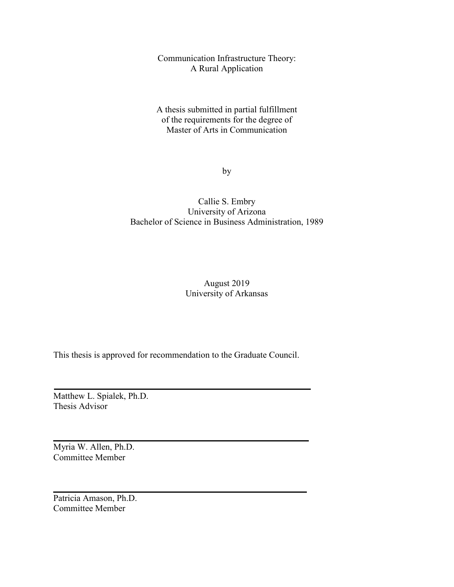Communication Infrastructure Theory: A Rural Application

A thesis submitted in partial fulfillment of the requirements for the degree of Master of Arts in Communication

by

# Callie S. Embry University of Arizona Bachelor of Science in Business Administration, 1989

# August 2019 University of Arkansas

This thesis is approved for recommendation to the Graduate Council.

Matthew L. Spialek, Ph.D. Thesis Advisor

Myria W. Allen, Ph.D. Committee Member

Patricia Amason, Ph.D. Committee Member

 $\mathcal{L}=\mathcal{L}=\mathcal{L}=\mathcal{L}=\mathcal{L}=\mathcal{L}=\mathcal{L}=\mathcal{L}=\mathcal{L}=\mathcal{L}=\mathcal{L}=\mathcal{L}=\mathcal{L}=\mathcal{L}=\mathcal{L}=\mathcal{L}=\mathcal{L}=\mathcal{L}=\mathcal{L}=\mathcal{L}=\mathcal{L}=\mathcal{L}=\mathcal{L}=\mathcal{L}=\mathcal{L}=\mathcal{L}=\mathcal{L}=\mathcal{L}=\mathcal{L}=\mathcal{L}=\mathcal{L}=\mathcal{L}=\mathcal{L}=\mathcal{L}=\mathcal{L}=\mathcal{L}=\mathcal{$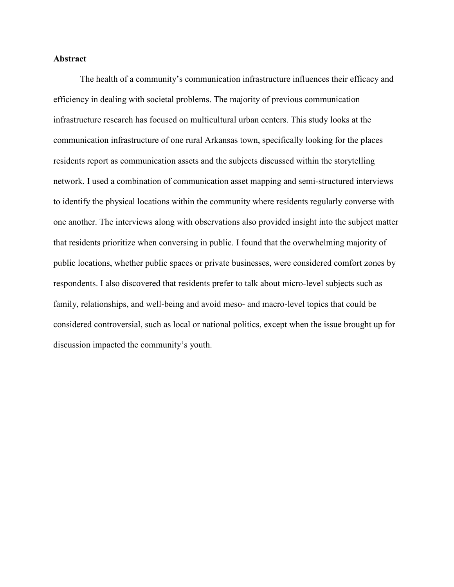# **Abstract**

 The health of a community's communication infrastructure influences their efficacy and efficiency in dealing with societal problems. The majority of previous communication infrastructure research has focused on multicultural urban centers. This study looks at the communication infrastructure of one rural Arkansas town, specifically looking for the places residents report as communication assets and the subjects discussed within the storytelling network. I used a combination of communication asset mapping and semi-structured interviews to identify the physical locations within the community where residents regularly converse with one another. The interviews along with observations also provided insight into the subject matter that residents prioritize when conversing in public. I found that the overwhelming majority of public locations, whether public spaces or private businesses, were considered comfort zones by respondents. I also discovered that residents prefer to talk about micro-level subjects such as family, relationships, and well-being and avoid meso- and macro-level topics that could be considered controversial, such as local or national politics, except when the issue brought up for discussion impacted the community's youth.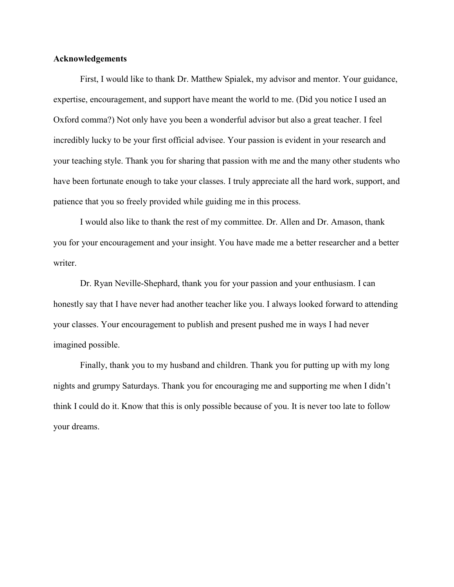# **Acknowledgements**

 First, I would like to thank Dr. Matthew Spialek, my advisor and mentor. Your guidance, expertise, encouragement, and support have meant the world to me. (Did you notice I used an Oxford comma?) Not only have you been a wonderful advisor but also a great teacher. I feel incredibly lucky to be your first official advisee. Your passion is evident in your research and your teaching style. Thank you for sharing that passion with me and the many other students who have been fortunate enough to take your classes. I truly appreciate all the hard work, support, and patience that you so freely provided while guiding me in this process.

 I would also like to thank the rest of my committee. Dr. Allen and Dr. Amason, thank you for your encouragement and your insight. You have made me a better researcher and a better writer.

 Dr. Ryan Neville-Shephard, thank you for your passion and your enthusiasm. I can honestly say that I have never had another teacher like you. I always looked forward to attending your classes. Your encouragement to publish and present pushed me in ways I had never imagined possible.

 Finally, thank you to my husband and children. Thank you for putting up with my long nights and grumpy Saturdays. Thank you for encouraging me and supporting me when I didn't think I could do it. Know that this is only possible because of you. It is never too late to follow your dreams.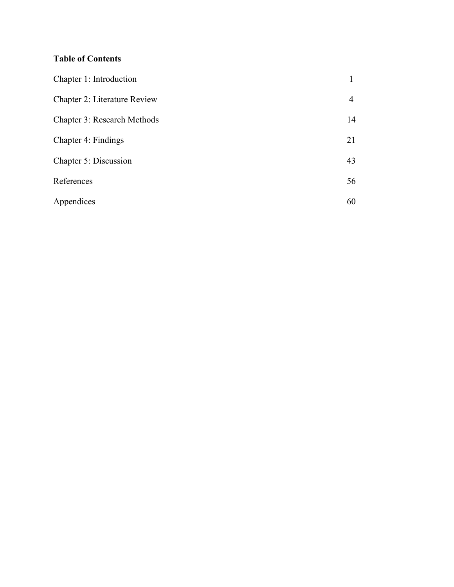# **Table of Contents**

| Chapter 1: Introduction            |    |
|------------------------------------|----|
| Chapter 2: Literature Review       | 4  |
| <b>Chapter 3: Research Methods</b> | 14 |
| Chapter 4: Findings                | 21 |
| Chapter 5: Discussion              | 43 |
| References                         | 56 |
| Appendices                         | 60 |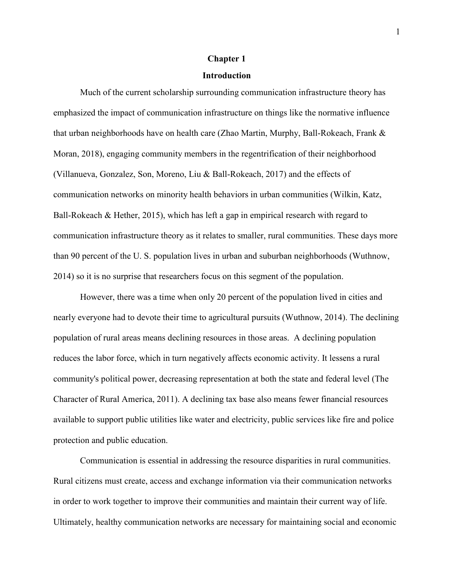#### **Chapter 1**

#### **Introduction**

 Much of the current scholarship surrounding communication infrastructure theory has emphasized the impact of communication infrastructure on things like the normative influence that urban neighborhoods have on health care (Zhao Martin, Murphy, Ball-Rokeach, Frank & Moran, 2018), engaging community members in the regentrification of their neighborhood (Villanueva, Gonzalez, Son, Moreno, Liu & Ball-Rokeach, 2017) and the effects of communication networks on minority health behaviors in urban communities (Wilkin, Katz, Ball-Rokeach & Hether, 2015), which has left a gap in empirical research with regard to communication infrastructure theory as it relates to smaller, rural communities. These days more than 90 percent of the U. S. population lives in urban and suburban neighborhoods (Wuthnow, 2014) so it is no surprise that researchers focus on this segment of the population.

 However, there was a time when only 20 percent of the population lived in cities and nearly everyone had to devote their time to agricultural pursuits (Wuthnow, 2014). The declining population of rural areas means declining resources in those areas. A declining population reduces the labor force, which in turn negatively affects economic activity. It lessens a rural community's political power, decreasing representation at both the state and federal level (The Character of Rural America, 2011). A declining tax base also means fewer financial resources available to support public utilities like water and electricity, public services like fire and police protection and public education.

 Communication is essential in addressing the resource disparities in rural communities. Rural citizens must create, access and exchange information via their communication networks in order to work together to improve their communities and maintain their current way of life. Ultimately, healthy communication networks are necessary for maintaining social and economic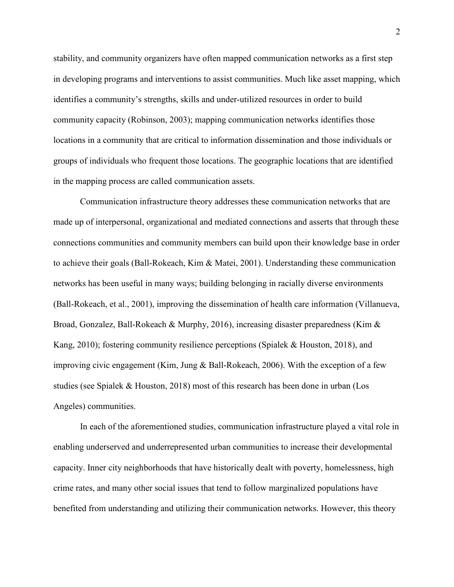stability, and community organizers have often mapped communication networks as a first step in developing programs and interventions to assist communities. Much like asset mapping, which identifies a community's strengths, skills and under-utilized resources in order to build community capacity (Robinson, 2003); mapping communication networks identifies those locations in a community that are critical to information dissemination and those individuals or groups of individuals who frequent those locations. The geographic locations that are identified in the mapping process are called communication assets.

 Communication infrastructure theory addresses these communication networks that are made up of interpersonal, organizational and mediated connections and asserts that through these connections communities and community members can build upon their knowledge base in order to achieve their goals (Ball-Rokeach, Kim & Matei, 2001). Understanding these communication networks has been useful in many ways; building belonging in racially diverse environments (Ball-Rokeach, et al., 2001), improving the dissemination of health care information (Villanueva, Broad, Gonzalez, Ball-Rokeach & Murphy, 2016), increasing disaster preparedness (Kim & Kang, 2010); fostering community resilience perceptions (Spialek & Houston, 2018), and improving civic engagement (Kim, Jung & Ball-Rokeach, 2006). With the exception of a few studies (see Spialek & Houston, 2018) most of this research has been done in urban (Los Angeles) communities.

In each of the aforementioned studies, communication infrastructure played a vital role in enabling underserved and underrepresented urban communities to increase their developmental capacity. Inner city neighborhoods that have historically dealt with poverty, homelessness, high crime rates, and many other social issues that tend to follow marginalized populations have benefited from understanding and utilizing their communication networks. However, this theory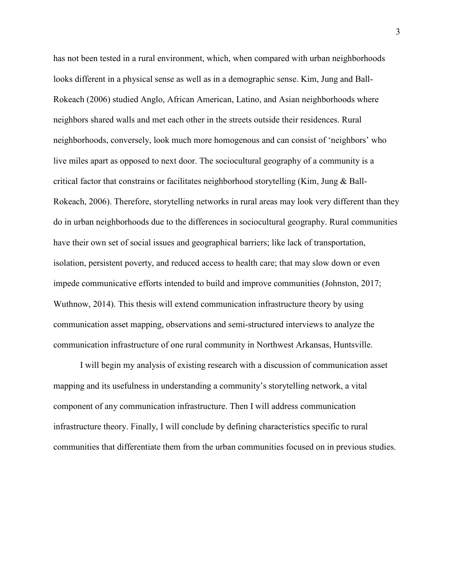has not been tested in a rural environment, which, when compared with urban neighborhoods looks different in a physical sense as well as in a demographic sense. Kim, Jung and Ball-Rokeach (2006) studied Anglo, African American, Latino, and Asian neighborhoods where neighbors shared walls and met each other in the streets outside their residences. Rural neighborhoods, conversely, look much more homogenous and can consist of 'neighbors' who live miles apart as opposed to next door. The sociocultural geography of a community is a critical factor that constrains or facilitates neighborhood storytelling (Kim, Jung & Ball-Rokeach, 2006). Therefore, storytelling networks in rural areas may look very different than they do in urban neighborhoods due to the differences in sociocultural geography. Rural communities have their own set of social issues and geographical barriers; like lack of transportation, isolation, persistent poverty, and reduced access to health care; that may slow down or even impede communicative efforts intended to build and improve communities (Johnston, 2017; Wuthnow, 2014). This thesis will extend communication infrastructure theory by using communication asset mapping, observations and semi-structured interviews to analyze the communication infrastructure of one rural community in Northwest Arkansas, Huntsville.

 I will begin my analysis of existing research with a discussion of communication asset mapping and its usefulness in understanding a community's storytelling network, a vital component of any communication infrastructure. Then I will address communication infrastructure theory. Finally, I will conclude by defining characteristics specific to rural communities that differentiate them from the urban communities focused on in previous studies.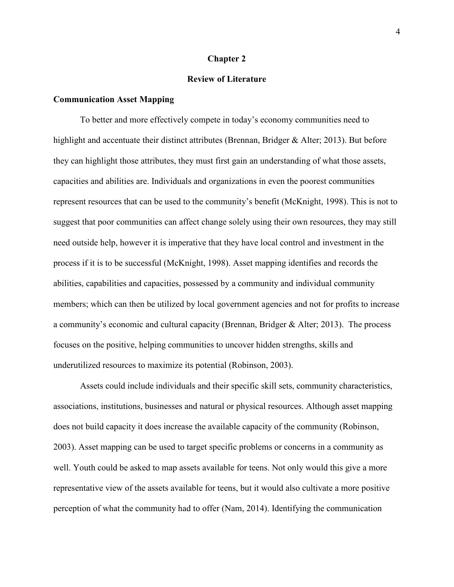#### **Chapter 2**

# **Review of Literature**

# **Communication Asset Mapping**

 To better and more effectively compete in today's economy communities need to highlight and accentuate their distinct attributes (Brennan, Bridger  $\&$  Alter; 2013). But before they can highlight those attributes, they must first gain an understanding of what those assets, capacities and abilities are. Individuals and organizations in even the poorest communities represent resources that can be used to the community's benefit (McKnight, 1998). This is not to suggest that poor communities can affect change solely using their own resources, they may still need outside help, however it is imperative that they have local control and investment in the process if it is to be successful (McKnight, 1998). Asset mapping identifies and records the abilities, capabilities and capacities, possessed by a community and individual community members; which can then be utilized by local government agencies and not for profits to increase a community's economic and cultural capacity (Brennan, Bridger & Alter; 2013). The process focuses on the positive, helping communities to uncover hidden strengths, skills and underutilized resources to maximize its potential (Robinson, 2003).

 Assets could include individuals and their specific skill sets, community characteristics, associations, institutions, businesses and natural or physical resources. Although asset mapping does not build capacity it does increase the available capacity of the community (Robinson, 2003). Asset mapping can be used to target specific problems or concerns in a community as well. Youth could be asked to map assets available for teens. Not only would this give a more representative view of the assets available for teens, but it would also cultivate a more positive perception of what the community had to offer (Nam, 2014). Identifying the communication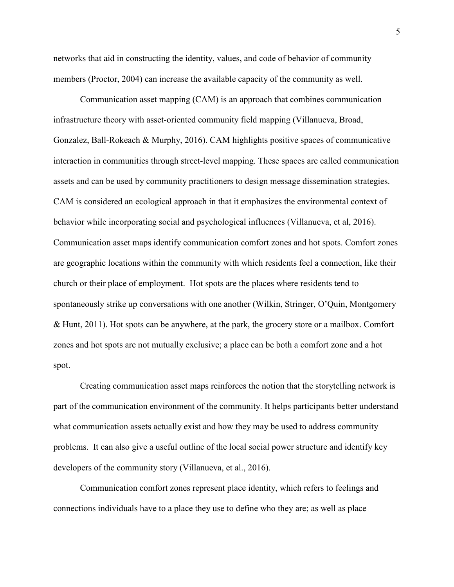networks that aid in constructing the identity, values, and code of behavior of community members (Proctor, 2004) can increase the available capacity of the community as well.

 Communication asset mapping (CAM) is an approach that combines communication infrastructure theory with asset-oriented community field mapping (Villanueva, Broad, Gonzalez, Ball-Rokeach & Murphy, 2016). CAM highlights positive spaces of communicative interaction in communities through street-level mapping. These spaces are called communication assets and can be used by community practitioners to design message dissemination strategies. CAM is considered an ecological approach in that it emphasizes the environmental context of behavior while incorporating social and psychological influences (Villanueva, et al, 2016). Communication asset maps identify communication comfort zones and hot spots. Comfort zones are geographic locations within the community with which residents feel a connection, like their church or their place of employment. Hot spots are the places where residents tend to spontaneously strike up conversations with one another (Wilkin, Stringer, O'Quin, Montgomery & Hunt, 2011). Hot spots can be anywhere, at the park, the grocery store or a mailbox. Comfort zones and hot spots are not mutually exclusive; a place can be both a comfort zone and a hot spot.

 Creating communication asset maps reinforces the notion that the storytelling network is part of the communication environment of the community. It helps participants better understand what communication assets actually exist and how they may be used to address community problems. It can also give a useful outline of the local social power structure and identify key developers of the community story (Villanueva, et al., 2016).

 Communication comfort zones represent place identity, which refers to feelings and connections individuals have to a place they use to define who they are; as well as place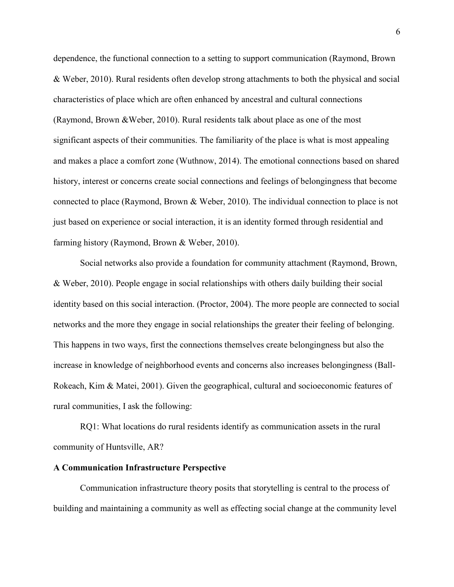dependence, the functional connection to a setting to support communication (Raymond, Brown & Weber, 2010). Rural residents often develop strong attachments to both the physical and social characteristics of place which are often enhanced by ancestral and cultural connections (Raymond, Brown &Weber, 2010). Rural residents talk about place as one of the most significant aspects of their communities. The familiarity of the place is what is most appealing and makes a place a comfort zone (Wuthnow, 2014). The emotional connections based on shared history, interest or concerns create social connections and feelings of belongingness that become connected to place (Raymond, Brown & Weber, 2010). The individual connection to place is not just based on experience or social interaction, it is an identity formed through residential and farming history (Raymond, Brown & Weber, 2010).

 Social networks also provide a foundation for community attachment (Raymond, Brown, & Weber, 2010). People engage in social relationships with others daily building their social identity based on this social interaction. (Proctor, 2004). The more people are connected to social networks and the more they engage in social relationships the greater their feeling of belonging. This happens in two ways, first the connections themselves create belongingness but also the increase in knowledge of neighborhood events and concerns also increases belongingness (Ball-Rokeach, Kim & Matei, 2001). Given the geographical, cultural and socioeconomic features of rural communities, I ask the following:

 RQ1: What locations do rural residents identify as communication assets in the rural community of Huntsville, AR?

#### **A Communication Infrastructure Perspective**

 Communication infrastructure theory posits that storytelling is central to the process of building and maintaining a community as well as effecting social change at the community level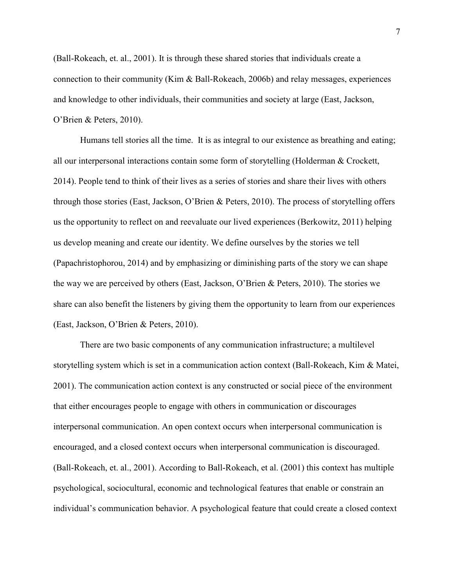(Ball-Rokeach, et. al., 2001). It is through these shared stories that individuals create a connection to their community (Kim & Ball-Rokeach, 2006b) and relay messages, experiences and knowledge to other individuals, their communities and society at large (East, Jackson, O'Brien & Peters, 2010).

 Humans tell stories all the time. It is as integral to our existence as breathing and eating; all our interpersonal interactions contain some form of storytelling (Holderman & Crockett, 2014). People tend to think of their lives as a series of stories and share their lives with others through those stories (East, Jackson, O'Brien & Peters, 2010). The process of storytelling offers us the opportunity to reflect on and reevaluate our lived experiences (Berkowitz, 2011) helping us develop meaning and create our identity. We define ourselves by the stories we tell (Papachristophorou, 2014) and by emphasizing or diminishing parts of the story we can shape the way we are perceived by others (East, Jackson, O'Brien & Peters, 2010). The stories we share can also benefit the listeners by giving them the opportunity to learn from our experiences (East, Jackson, O'Brien & Peters, 2010).

 There are two basic components of any communication infrastructure; a multilevel storytelling system which is set in a communication action context (Ball-Rokeach, Kim & Matei, 2001). The communication action context is any constructed or social piece of the environment that either encourages people to engage with others in communication or discourages interpersonal communication. An open context occurs when interpersonal communication is encouraged, and a closed context occurs when interpersonal communication is discouraged. (Ball-Rokeach, et. al., 2001). According to Ball-Rokeach, et al. (2001) this context has multiple psychological, sociocultural, economic and technological features that enable or constrain an individual's communication behavior. A psychological feature that could create a closed context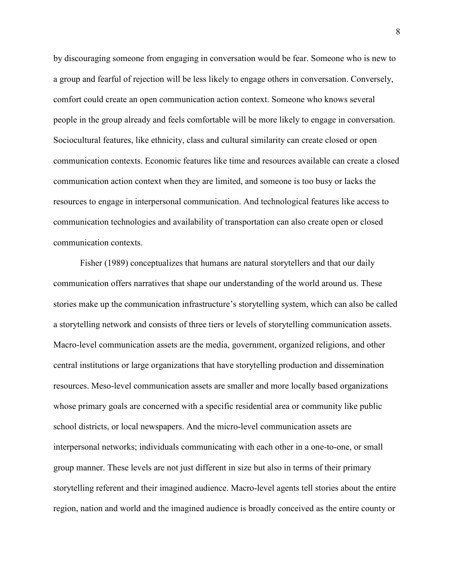by discouraging someone from engaging in conversation would be fear. Someone who is new to a group and fearful of rejection will be less likely to engage others in conversation. Conversely, comfort could create an open communication action context. Someone who knows several people in the group already and feels comfortable will be more likely to engage in conversation. Sociocultural features, like ethnicity, class and cultural similarity can create closed or open communication contexts. Economic features like time and resources available can create a closed communication action context when they are limited, and someone is too busy or lacks the resources to engage in interpersonal communication. And technological features like access to communication technologies and availability of transportation can also create open or closed communication contexts.

 Fisher (1989) conceptualizes that humans are natural storytellers and that our daily communication offers narratives that shape our understanding of the world around us. These stories make up the communication infrastructure's storytelling system, which can also be called a storytelling network and consists of three tiers or levels of storytelling communication assets. Macro-level communication assets are the media, government, organized religions, and other central institutions or large organizations that have storytelling production and dissemination resources. Meso-level communication assets are smaller and more locally based organizations whose primary goals are concerned with a specific residential area or community like public school districts, or local newspapers. And the micro-level communication assets are interpersonal networks; individuals communicating with each other in a one-to-one, or small group manner. These levels are not just different in size but also in terms of their primary storytelling referent and their imagined audience. Macro-level agents tell stories about the entire region, nation and world and the imagined audience is broadly conceived as the entire county or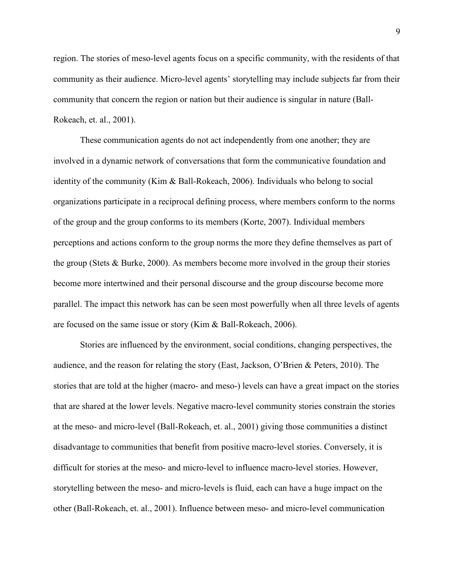region. The stories of meso-level agents focus on a specific community, with the residents of that community as their audience. Micro-level agents' storytelling may include subjects far from their community that concern the region or nation but their audience is singular in nature (Ball-Rokeach, et. al., 2001).

 These communication agents do not act independently from one another; they are involved in a dynamic network of conversations that form the communicative foundation and identity of the community (Kim & Ball-Rokeach, 2006). Individuals who belong to social organizations participate in a reciprocal defining process, where members conform to the norms of the group and the group conforms to its members (Korte, 2007). Individual members perceptions and actions conform to the group norms the more they define themselves as part of the group (Stets & Burke, 2000). As members become more involved in the group their stories become more intertwined and their personal discourse and the group discourse become more parallel. The impact this network has can be seen most powerfully when all three levels of agents are focused on the same issue or story (Kim & Ball-Rokeach, 2006).

 Stories are influenced by the environment, social conditions, changing perspectives, the audience, and the reason for relating the story (East, Jackson, O'Brien & Peters, 2010). The stories that are told at the higher (macro- and meso-) levels can have a great impact on the stories that are shared at the lower levels. Negative macro-level community stories constrain the stories at the meso- and micro-level (Ball-Rokeach, et. al., 2001) giving those communities a distinct disadvantage to communities that benefit from positive macro-level stories. Conversely, it is difficult for stories at the meso- and micro-level to influence macro-level stories. However, storytelling between the meso- and micro-levels is fluid, each can have a huge impact on the other (Ball-Rokeach, et. al., 2001). Influence between meso- and micro-level communication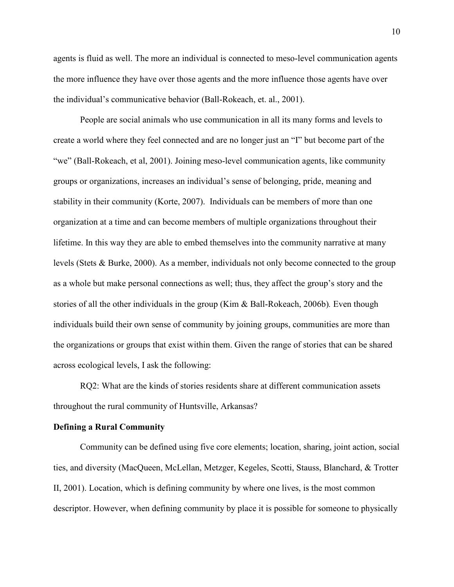agents is fluid as well. The more an individual is connected to meso-level communication agents the more influence they have over those agents and the more influence those agents have over the individual's communicative behavior (Ball-Rokeach, et. al., 2001).

People are social animals who use communication in all its many forms and levels to create a world where they feel connected and are no longer just an "I" but become part of the "we" (Ball-Rokeach, et al, 2001). Joining meso-level communication agents, like community groups or organizations, increases an individual's sense of belonging, pride, meaning and stability in their community (Korte, 2007). Individuals can be members of more than one organization at a time and can become members of multiple organizations throughout their lifetime. In this way they are able to embed themselves into the community narrative at many levels (Stets & Burke, 2000). As a member, individuals not only become connected to the group as a whole but make personal connections as well; thus, they affect the group's story and the stories of all the other individuals in the group (Kim & Ball-Rokeach, 2006b)*.* Even though individuals build their own sense of community by joining groups, communities are more than the organizations or groups that exist within them. Given the range of stories that can be shared across ecological levels, I ask the following:

 RQ2: What are the kinds of stories residents share at different communication assets throughout the rural community of Huntsville, Arkansas?

#### **Defining a Rural Community**

 Community can be defined using five core elements; location, sharing, joint action, social ties, and diversity (MacQueen, McLellan, Metzger, Kegeles, Scotti, Stauss, Blanchard, & Trotter II, 2001). Location, which is defining community by where one lives, is the most common descriptor. However, when defining community by place it is possible for someone to physically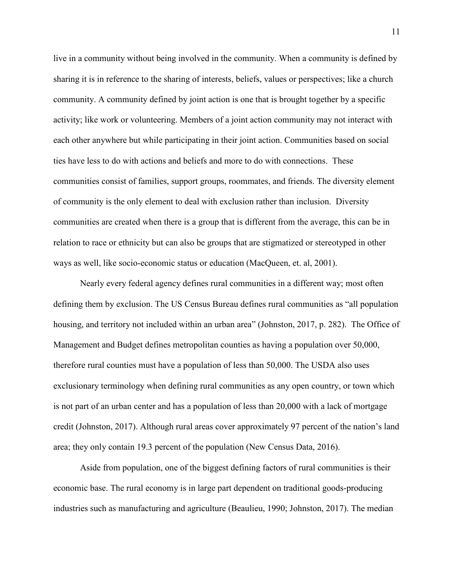live in a community without being involved in the community. When a community is defined by sharing it is in reference to the sharing of interests, beliefs, values or perspectives; like a church community. A community defined by joint action is one that is brought together by a specific activity; like work or volunteering. Members of a joint action community may not interact with each other anywhere but while participating in their joint action. Communities based on social ties have less to do with actions and beliefs and more to do with connections. These communities consist of families, support groups, roommates, and friends. The diversity element of community is the only element to deal with exclusion rather than inclusion. Diversity communities are created when there is a group that is different from the average, this can be in relation to race or ethnicity but can also be groups that are stigmatized or stereotyped in other ways as well, like socio-economic status or education (MacQueen, et. al, 2001).

 Nearly every federal agency defines rural communities in a different way; most often defining them by exclusion. The US Census Bureau defines rural communities as "all population housing, and territory not included within an urban area" (Johnston, 2017, p. 282). The Office of Management and Budget defines metropolitan counties as having a population over 50,000, therefore rural counties must have a population of less than 50,000. The USDA also uses exclusionary terminology when defining rural communities as any open country, or town which is not part of an urban center and has a population of less than 20,000 with a lack of mortgage credit (Johnston, 2017). Although rural areas cover approximately 97 percent of the nation's land area; they only contain 19.3 percent of the population (New Census Data, 2016).

 Aside from population, one of the biggest defining factors of rural communities is their economic base. The rural economy is in large part dependent on traditional goods-producing industries such as manufacturing and agriculture (Beaulieu, 1990; Johnston, 2017). The median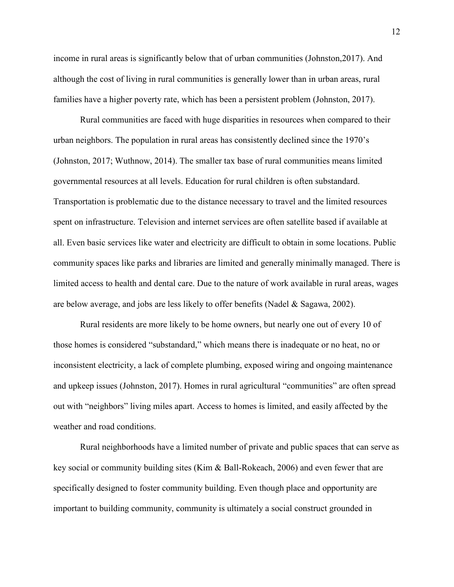income in rural areas is significantly below that of urban communities (Johnston,2017). And although the cost of living in rural communities is generally lower than in urban areas, rural families have a higher poverty rate, which has been a persistent problem (Johnston, 2017).

 Rural communities are faced with huge disparities in resources when compared to their urban neighbors. The population in rural areas has consistently declined since the 1970's (Johnston, 2017; Wuthnow, 2014). The smaller tax base of rural communities means limited governmental resources at all levels. Education for rural children is often substandard. Transportation is problematic due to the distance necessary to travel and the limited resources spent on infrastructure. Television and internet services are often satellite based if available at all. Even basic services like water and electricity are difficult to obtain in some locations. Public community spaces like parks and libraries are limited and generally minimally managed. There is limited access to health and dental care. Due to the nature of work available in rural areas, wages are below average, and jobs are less likely to offer benefits (Nadel & Sagawa, 2002).

 Rural residents are more likely to be home owners, but nearly one out of every 10 of those homes is considered "substandard," which means there is inadequate or no heat, no or inconsistent electricity, a lack of complete plumbing, exposed wiring and ongoing maintenance and upkeep issues (Johnston, 2017). Homes in rural agricultural "communities" are often spread out with "neighbors" living miles apart. Access to homes is limited, and easily affected by the weather and road conditions.

 Rural neighborhoods have a limited number of private and public spaces that can serve as key social or community building sites (Kim & Ball-Rokeach, 2006) and even fewer that are specifically designed to foster community building. Even though place and opportunity are important to building community, community is ultimately a social construct grounded in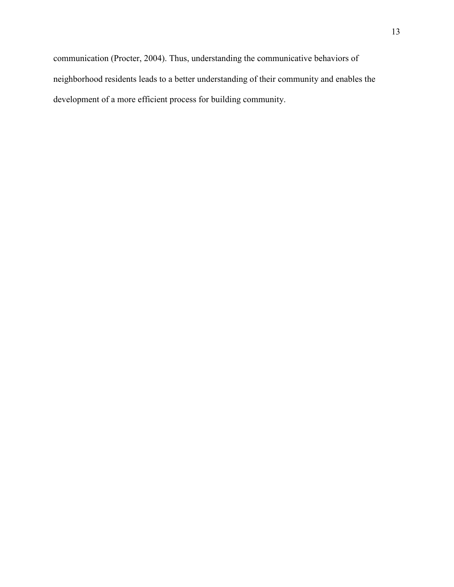communication (Procter, 2004). Thus, understanding the communicative behaviors of neighborhood residents leads to a better understanding of their community and enables the development of a more efficient process for building community.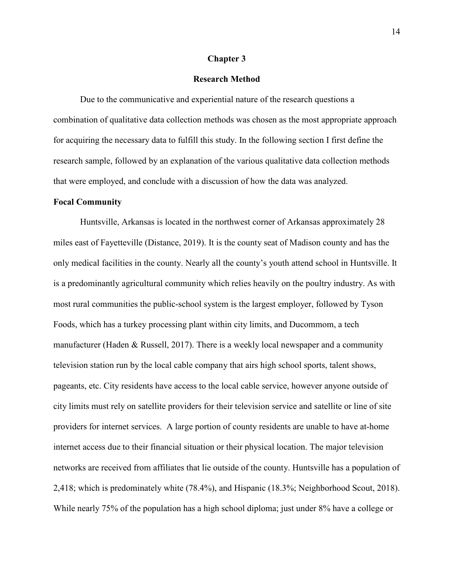#### **Chapter 3**

# **Research Method**

 Due to the communicative and experiential nature of the research questions a combination of qualitative data collection methods was chosen as the most appropriate approach for acquiring the necessary data to fulfill this study. In the following section I first define the research sample, followed by an explanation of the various qualitative data collection methods that were employed, and conclude with a discussion of how the data was analyzed.

## **Focal Community**

 Huntsville, Arkansas is located in the northwest corner of Arkansas approximately 28 miles east of Fayetteville (Distance, 2019). It is the county seat of Madison county and has the only medical facilities in the county. Nearly all the county's youth attend school in Huntsville. It is a predominantly agricultural community which relies heavily on the poultry industry. As with most rural communities the public-school system is the largest employer, followed by Tyson Foods, which has a turkey processing plant within city limits, and Ducommom, a tech manufacturer (Haden & Russell, 2017). There is a weekly local newspaper and a community television station run by the local cable company that airs high school sports, talent shows, pageants, etc. City residents have access to the local cable service, however anyone outside of city limits must rely on satellite providers for their television service and satellite or line of site providers for internet services. A large portion of county residents are unable to have at-home internet access due to their financial situation or their physical location. The major television networks are received from affiliates that lie outside of the county. Huntsville has a population of 2,418; which is predominately white (78.4%), and Hispanic (18.3%; Neighborhood Scout, 2018). While nearly 75% of the population has a high school diploma; just under 8% have a college or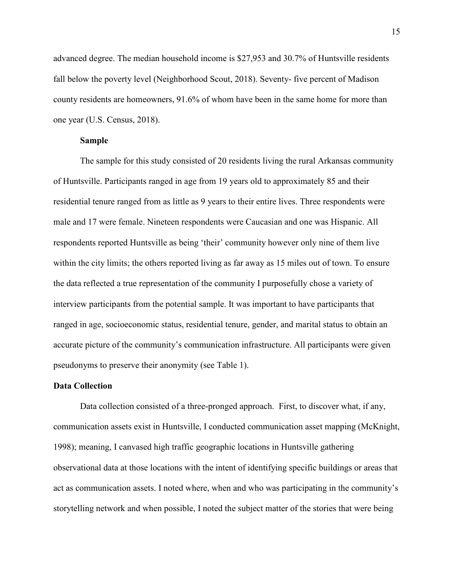advanced degree. The median household income is \$27,953 and 30.7% of Huntsville residents fall below the poverty level (Neighborhood Scout, 2018). Seventy- five percent of Madison county residents are homeowners, 91.6% of whom have been in the same home for more than one year (U.S. Census, 2018).

## **Sample**

The sample for this study consisted of 20 residents living the rural Arkansas community of Huntsville. Participants ranged in age from 19 years old to approximately 85 and their residential tenure ranged from as little as 9 years to their entire lives. Three respondents were male and 17 were female. Nineteen respondents were Caucasian and one was Hispanic. All respondents reported Huntsville as being 'their' community however only nine of them live within the city limits; the others reported living as far away as 15 miles out of town. To ensure the data reflected a true representation of the community I purposefully chose a variety of interview participants from the potential sample. It was important to have participants that ranged in age, socioeconomic status, residential tenure, gender, and marital status to obtain an accurate picture of the community's communication infrastructure. All participants were given pseudonyms to preserve their anonymity (see Table 1).

#### **Data Collection**

 Data collection consisted of a three-pronged approach. First, to discover what, if any, communication assets exist in Huntsville, I conducted communication asset mapping (McKnight, 1998); meaning, I canvased high traffic geographic locations in Huntsville gathering observational data at those locations with the intent of identifying specific buildings or areas that act as communication assets. I noted where, when and who was participating in the community's storytelling network and when possible, I noted the subject matter of the stories that were being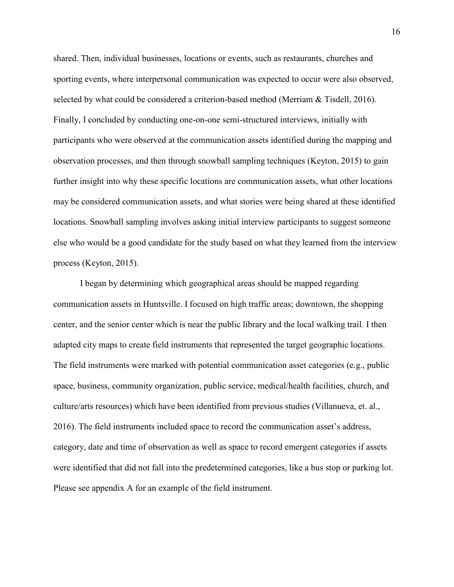shared. Then, individual businesses, locations or events, such as restaurants, churches and sporting events, where interpersonal communication was expected to occur were also observed, selected by what could be considered a criterion-based method (Merriam & Tisdell, 2016). Finally, I concluded by conducting one-on-one semi-structured interviews, initially with participants who were observed at the communication assets identified during the mapping and observation processes, and then through snowball sampling techniques (Keyton, 2015) to gain further insight into why these specific locations are communication assets, what other locations may be considered communication assets, and what stories were being shared at these identified locations. Snowball sampling involves asking initial interview participants to suggest someone else who would be a good candidate for the study based on what they learned from the interview process (Keyton, 2015).

 I began by determining which geographical areas should be mapped regarding communication assets in Huntsville. I focused on high traffic areas; downtown, the shopping center, and the senior center which is near the public library and the local walking trail. I then adapted city maps to create field instruments that represented the target geographic locations. The field instruments were marked with potential communication asset categories (e.g., public space, business, community organization, public service, medical/health facilities, church, and culture/arts resources) which have been identified from previous studies (Villanueva, et. al., 2016). The field instruments included space to record the communication asset's address, category, date and time of observation as well as space to record emergent categories if assets were identified that did not fall into the predetermined categories, like a bus stop or parking lot. Please see appendix A for an example of the field instrument.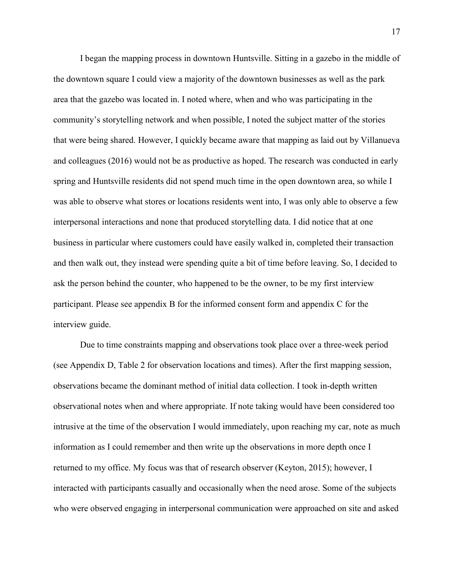I began the mapping process in downtown Huntsville. Sitting in a gazebo in the middle of the downtown square I could view a majority of the downtown businesses as well as the park area that the gazebo was located in. I noted where, when and who was participating in the community's storytelling network and when possible, I noted the subject matter of the stories that were being shared. However, I quickly became aware that mapping as laid out by Villanueva and colleagues (2016) would not be as productive as hoped. The research was conducted in early spring and Huntsville residents did not spend much time in the open downtown area, so while I was able to observe what stores or locations residents went into, I was only able to observe a few interpersonal interactions and none that produced storytelling data. I did notice that at one business in particular where customers could have easily walked in, completed their transaction and then walk out, they instead were spending quite a bit of time before leaving. So, I decided to ask the person behind the counter, who happened to be the owner, to be my first interview participant. Please see appendix B for the informed consent form and appendix C for the interview guide.

 Due to time constraints mapping and observations took place over a three-week period (see Appendix D, Table 2 for observation locations and times). After the first mapping session, observations became the dominant method of initial data collection. I took in-depth written observational notes when and where appropriate. If note taking would have been considered too intrusive at the time of the observation I would immediately, upon reaching my car, note as much information as I could remember and then write up the observations in more depth once I returned to my office. My focus was that of research observer (Keyton, 2015); however, I interacted with participants casually and occasionally when the need arose. Some of the subjects who were observed engaging in interpersonal communication were approached on site and asked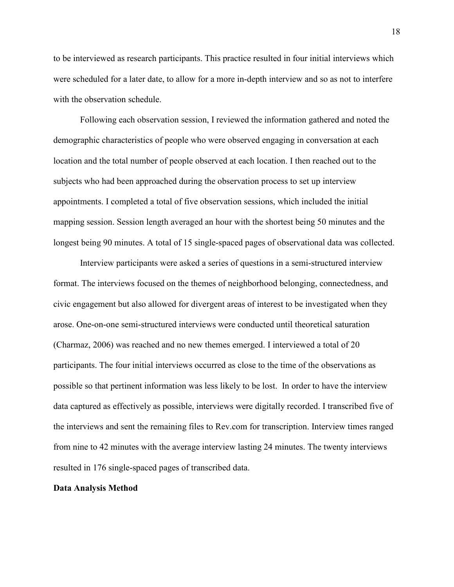to be interviewed as research participants. This practice resulted in four initial interviews which were scheduled for a later date, to allow for a more in-depth interview and so as not to interfere with the observation schedule.

 Following each observation session, I reviewed the information gathered and noted the demographic characteristics of people who were observed engaging in conversation at each location and the total number of people observed at each location. I then reached out to the subjects who had been approached during the observation process to set up interview appointments. I completed a total of five observation sessions, which included the initial mapping session. Session length averaged an hour with the shortest being 50 minutes and the longest being 90 minutes. A total of 15 single-spaced pages of observational data was collected.

 Interview participants were asked a series of questions in a semi-structured interview format. The interviews focused on the themes of neighborhood belonging, connectedness, and civic engagement but also allowed for divergent areas of interest to be investigated when they arose. One-on-one semi-structured interviews were conducted until theoretical saturation (Charmaz, 2006) was reached and no new themes emerged. I interviewed a total of 20 participants. The four initial interviews occurred as close to the time of the observations as possible so that pertinent information was less likely to be lost. In order to have the interview data captured as effectively as possible, interviews were digitally recorded. I transcribed five of the interviews and sent the remaining files to Rev.com for transcription. Interview times ranged from nine to 42 minutes with the average interview lasting 24 minutes. The twenty interviews resulted in 176 single-spaced pages of transcribed data.

# **Data Analysis Method**

18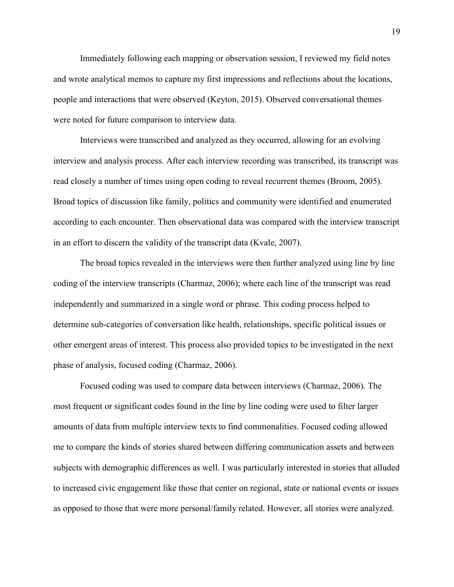Immediately following each mapping or observation session, I reviewed my field notes and wrote analytical memos to capture my first impressions and reflections about the locations, people and interactions that were observed (Keyton, 2015). Observed conversational themes were noted for future comparison to interview data.

 Interviews were transcribed and analyzed as they occurred, allowing for an evolving interview and analysis process. After each interview recording was transcribed, its transcript was read closely a number of times using open coding to reveal recurrent themes (Broom, 2005). Broad topics of discussion like family, politics and community were identified and enumerated according to each encounter. Then observational data was compared with the interview transcript in an effort to discern the validity of the transcript data (Kvale, 2007).

 The broad topics revealed in the interviews were then further analyzed using line by line coding of the interview transcripts (Charmaz, 2006); where each line of the transcript was read independently and summarized in a single word or phrase. This coding process helped to determine sub-categories of conversation like health, relationships, specific political issues or other emergent areas of interest. This process also provided topics to be investigated in the next phase of analysis, focused coding (Charmaz, 2006).

 Focused coding was used to compare data between interviews (Charmaz, 2006). The most frequent or significant codes found in the line by line coding were used to filter larger amounts of data from multiple interview texts to find commonalities. Focused coding allowed me to compare the kinds of stories shared between differing communication assets and between subjects with demographic differences as well. I was particularly interested in stories that alluded to increased civic engagement like those that center on regional, state or national events or issues as opposed to those that were more personal/family related. However, all stories were analyzed.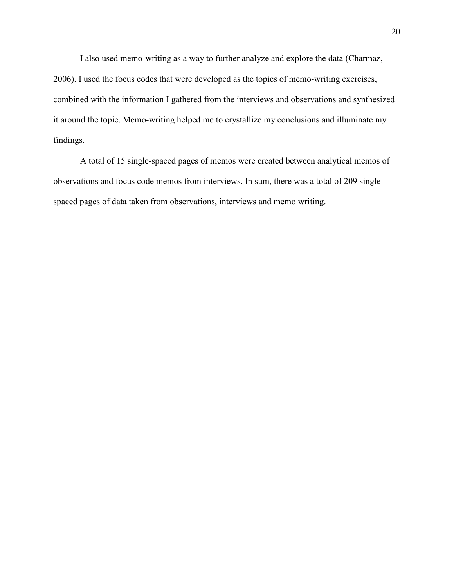I also used memo-writing as a way to further analyze and explore the data (Charmaz, 2006). I used the focus codes that were developed as the topics of memo-writing exercises, combined with the information I gathered from the interviews and observations and synthesized it around the topic. Memo-writing helped me to crystallize my conclusions and illuminate my findings.

 A total of 15 single-spaced pages of memos were created between analytical memos of observations and focus code memos from interviews. In sum, there was a total of 209 singlespaced pages of data taken from observations, interviews and memo writing.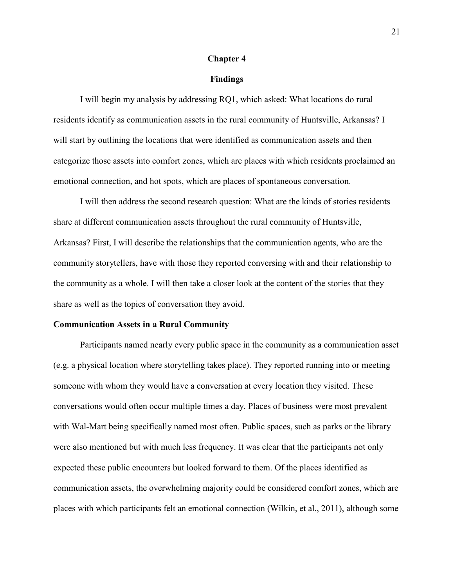#### **Chapter 4**

#### **Findings**

 I will begin my analysis by addressing RQ1, which asked: What locations do rural residents identify as communication assets in the rural community of Huntsville, Arkansas? I will start by outlining the locations that were identified as communication assets and then categorize those assets into comfort zones, which are places with which residents proclaimed an emotional connection, and hot spots, which are places of spontaneous conversation.

 I will then address the second research question: What are the kinds of stories residents share at different communication assets throughout the rural community of Huntsville, Arkansas? First, I will describe the relationships that the communication agents, who are the community storytellers, have with those they reported conversing with and their relationship to the community as a whole. I will then take a closer look at the content of the stories that they share as well as the topics of conversation they avoid.

# **Communication Assets in a Rural Community**

 Participants named nearly every public space in the community as a communication asset (e.g. a physical location where storytelling takes place). They reported running into or meeting someone with whom they would have a conversation at every location they visited. These conversations would often occur multiple times a day. Places of business were most prevalent with Wal-Mart being specifically named most often. Public spaces, such as parks or the library were also mentioned but with much less frequency. It was clear that the participants not only expected these public encounters but looked forward to them. Of the places identified as communication assets, the overwhelming majority could be considered comfort zones, which are places with which participants felt an emotional connection (Wilkin, et al., 2011), although some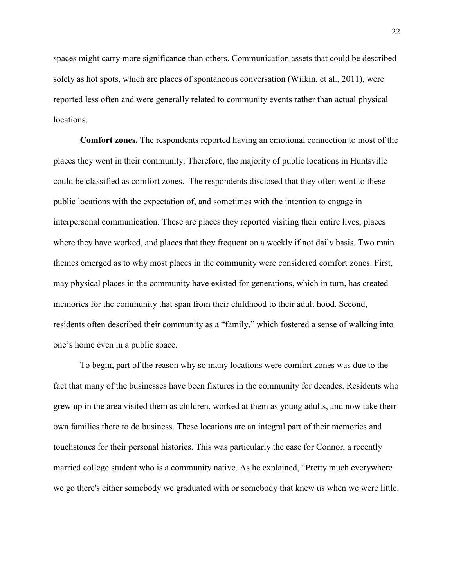spaces might carry more significance than others. Communication assets that could be described solely as hot spots, which are places of spontaneous conversation (Wilkin, et al., 2011), were reported less often and were generally related to community events rather than actual physical locations.

 **Comfort zones.** The respondents reported having an emotional connection to most of the places they went in their community. Therefore, the majority of public locations in Huntsville could be classified as comfort zones. The respondents disclosed that they often went to these public locations with the expectation of, and sometimes with the intention to engage in interpersonal communication. These are places they reported visiting their entire lives, places where they have worked, and places that they frequent on a weekly if not daily basis. Two main themes emerged as to why most places in the community were considered comfort zones. First, may physical places in the community have existed for generations, which in turn, has created memories for the community that span from their childhood to their adult hood. Second, residents often described their community as a "family," which fostered a sense of walking into one's home even in a public space.

 To begin, part of the reason why so many locations were comfort zones was due to the fact that many of the businesses have been fixtures in the community for decades. Residents who grew up in the area visited them as children, worked at them as young adults, and now take their own families there to do business. These locations are an integral part of their memories and touchstones for their personal histories. This was particularly the case for Connor, a recently married college student who is a community native. As he explained, "Pretty much everywhere we go there's either somebody we graduated with or somebody that knew us when we were little.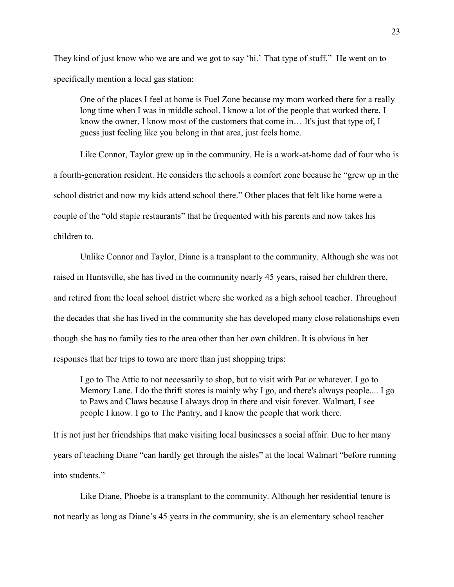They kind of just know who we are and we got to say 'hi.' That type of stuff." He went on to specifically mention a local gas station:

One of the places I feel at home is Fuel Zone because my mom worked there for a really long time when I was in middle school. I know a lot of the people that worked there. I know the owner, I know most of the customers that come in… It's just that type of, I guess just feeling like you belong in that area, just feels home.

 Like Connor, Taylor grew up in the community. He is a work-at-home dad of four who is a fourth-generation resident. He considers the schools a comfort zone because he "grew up in the school district and now my kids attend school there." Other places that felt like home were a couple of the "old staple restaurants" that he frequented with his parents and now takes his children to.

 Unlike Connor and Taylor, Diane is a transplant to the community. Although she was not raised in Huntsville, she has lived in the community nearly 45 years, raised her children there, and retired from the local school district where she worked as a high school teacher. Throughout the decades that she has lived in the community she has developed many close relationships even though she has no family ties to the area other than her own children. It is obvious in her responses that her trips to town are more than just shopping trips:

 I go to The Attic to not necessarily to shop, but to visit with Pat or whatever. I go to Memory Lane. I do the thrift stores is mainly why I go, and there's always people.... I go to Paws and Claws because I always drop in there and visit forever. Walmart, I see people I know. I go to The Pantry, and I know the people that work there.

It is not just her friendships that make visiting local businesses a social affair. Due to her many years of teaching Diane "can hardly get through the aisles" at the local Walmart "before running into students."

 Like Diane, Phoebe is a transplant to the community. Although her residential tenure is not nearly as long as Diane's 45 years in the community, she is an elementary school teacher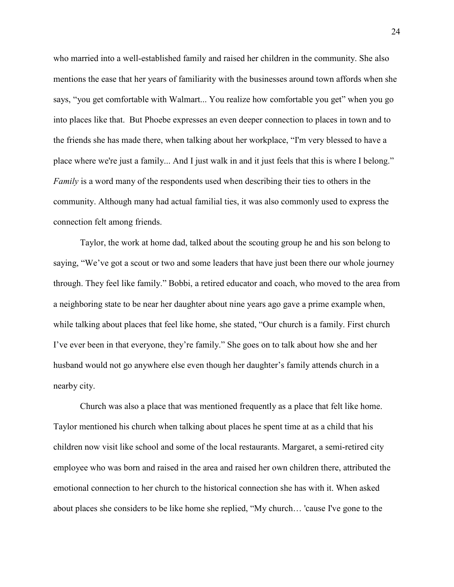who married into a well-established family and raised her children in the community. She also mentions the ease that her years of familiarity with the businesses around town affords when she says, "you get comfortable with Walmart... You realize how comfortable you get" when you go into places like that. But Phoebe expresses an even deeper connection to places in town and to the friends she has made there, when talking about her workplace, "I'm very blessed to have a place where we're just a family... And I just walk in and it just feels that this is where I belong." *Family* is a word many of the respondents used when describing their ties to others in the community. Although many had actual familial ties, it was also commonly used to express the connection felt among friends.

 Taylor, the work at home dad, talked about the scouting group he and his son belong to saying, "We've got a scout or two and some leaders that have just been there our whole journey through. They feel like family." Bobbi, a retired educator and coach, who moved to the area from a neighboring state to be near her daughter about nine years ago gave a prime example when, while talking about places that feel like home, she stated, "Our church is a family. First church I've ever been in that everyone, they're family." She goes on to talk about how she and her husband would not go anywhere else even though her daughter's family attends church in a nearby city.

 Church was also a place that was mentioned frequently as a place that felt like home. Taylor mentioned his church when talking about places he spent time at as a child that his children now visit like school and some of the local restaurants. Margaret, a semi-retired city employee who was born and raised in the area and raised her own children there, attributed the emotional connection to her church to the historical connection she has with it. When asked about places she considers to be like home she replied, "My church… 'cause I've gone to the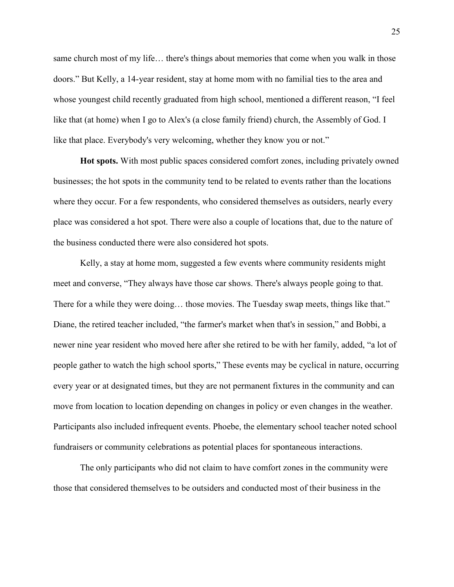same church most of my life… there's things about memories that come when you walk in those doors." But Kelly, a 14-year resident, stay at home mom with no familial ties to the area and whose youngest child recently graduated from high school, mentioned a different reason, "I feel like that (at home) when I go to Alex's (a close family friend) church, the Assembly of God. I like that place. Everybody's very welcoming, whether they know you or not."

 **Hot spots.** With most public spaces considered comfort zones, including privately owned businesses; the hot spots in the community tend to be related to events rather than the locations where they occur. For a few respondents, who considered themselves as outsiders, nearly every place was considered a hot spot. There were also a couple of locations that, due to the nature of the business conducted there were also considered hot spots.

Kelly, a stay at home mom, suggested a few events where community residents might meet and converse, "They always have those car shows. There's always people going to that. There for a while they were doing… those movies. The Tuesday swap meets, things like that." Diane, the retired teacher included, "the farmer's market when that's in session," and Bobbi, a newer nine year resident who moved here after she retired to be with her family, added, "a lot of people gather to watch the high school sports," These events may be cyclical in nature, occurring every year or at designated times, but they are not permanent fixtures in the community and can move from location to location depending on changes in policy or even changes in the weather. Participants also included infrequent events. Phoebe, the elementary school teacher noted school fundraisers or community celebrations as potential places for spontaneous interactions.

The only participants who did not claim to have comfort zones in the community were those that considered themselves to be outsiders and conducted most of their business in the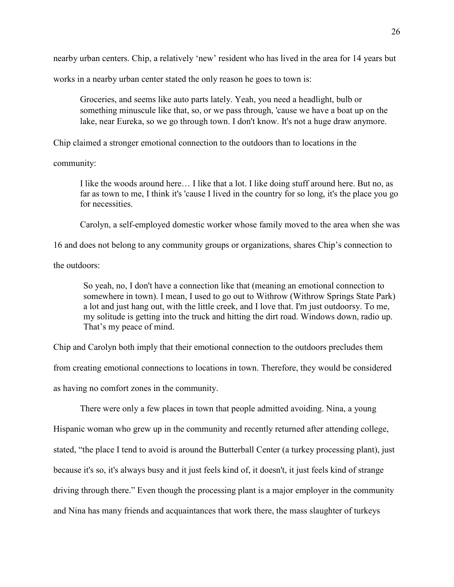nearby urban centers. Chip, a relatively 'new' resident who has lived in the area for 14 years but

works in a nearby urban center stated the only reason he goes to town is:

Groceries, and seems like auto parts lately. Yeah, you need a headlight, bulb or something minuscule like that, so, or we pass through, 'cause we have a boat up on the lake, near Eureka, so we go through town. I don't know. It's not a huge draw anymore.

Chip claimed a stronger emotional connection to the outdoors than to locations in the

community:

I like the woods around here… I like that a lot. I like doing stuff around here. But no, as far as town to me, I think it's 'cause I lived in the country for so long, it's the place you go for necessities.

Carolyn, a self-employed domestic worker whose family moved to the area when she was

16 and does not belong to any community groups or organizations, shares Chip's connection to

the outdoors:

So yeah, no, I don't have a connection like that (meaning an emotional connection to somewhere in town). I mean, I used to go out to Withrow (Withrow Springs State Park) a lot and just hang out, with the little creek, and I love that. I'm just outdoorsy. To me, my solitude is getting into the truck and hitting the dirt road. Windows down, radio up. That's my peace of mind.

Chip and Carolyn both imply that their emotional connection to the outdoors precludes them from creating emotional connections to locations in town. Therefore, they would be considered as having no comfort zones in the community.

 There were only a few places in town that people admitted avoiding. Nina, a young Hispanic woman who grew up in the community and recently returned after attending college, stated, "the place I tend to avoid is around the Butterball Center (a turkey processing plant), just because it's so, it's always busy and it just feels kind of, it doesn't, it just feels kind of strange driving through there." Even though the processing plant is a major employer in the community and Nina has many friends and acquaintances that work there, the mass slaughter of turkeys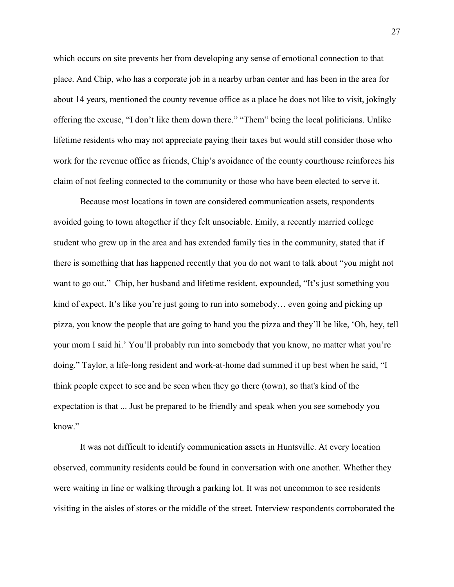which occurs on site prevents her from developing any sense of emotional connection to that place. And Chip, who has a corporate job in a nearby urban center and has been in the area for about 14 years, mentioned the county revenue office as a place he does not like to visit, jokingly offering the excuse, "I don't like them down there." "Them" being the local politicians. Unlike lifetime residents who may not appreciate paying their taxes but would still consider those who work for the revenue office as friends, Chip's avoidance of the county courthouse reinforces his claim of not feeling connected to the community or those who have been elected to serve it.

 Because most locations in town are considered communication assets, respondents avoided going to town altogether if they felt unsociable. Emily, a recently married college student who grew up in the area and has extended family ties in the community, stated that if there is something that has happened recently that you do not want to talk about "you might not want to go out." Chip, her husband and lifetime resident, expounded, "It's just something you kind of expect. It's like you're just going to run into somebody… even going and picking up pizza, you know the people that are going to hand you the pizza and they'll be like, 'Oh, hey, tell your mom I said hi.' You'll probably run into somebody that you know, no matter what you're doing." Taylor, a life-long resident and work-at-home dad summed it up best when he said, "I think people expect to see and be seen when they go there (town), so that's kind of the expectation is that ... Just be prepared to be friendly and speak when you see somebody you know"

 It was not difficult to identify communication assets in Huntsville. At every location observed, community residents could be found in conversation with one another. Whether they were waiting in line or walking through a parking lot. It was not uncommon to see residents visiting in the aisles of stores or the middle of the street. Interview respondents corroborated the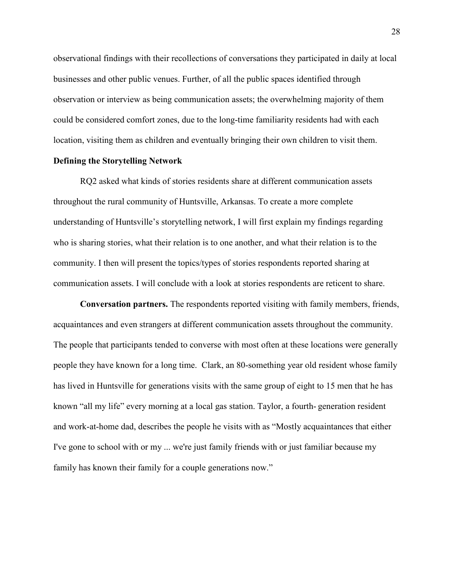observational findings with their recollections of conversations they participated in daily at local businesses and other public venues. Further, of all the public spaces identified through observation or interview as being communication assets; the overwhelming majority of them could be considered comfort zones, due to the long-time familiarity residents had with each location, visiting them as children and eventually bringing their own children to visit them.

#### **Defining the Storytelling Network**

 RQ2 asked what kinds of stories residents share at different communication assets throughout the rural community of Huntsville, Arkansas. To create a more complete understanding of Huntsville's storytelling network, I will first explain my findings regarding who is sharing stories, what their relation is to one another, and what their relation is to the community. I then will present the topics/types of stories respondents reported sharing at communication assets. I will conclude with a look at stories respondents are reticent to share.

 **Conversation partners.** The respondents reported visiting with family members, friends, acquaintances and even strangers at different communication assets throughout the community. The people that participants tended to converse with most often at these locations were generally people they have known for a long time. Clark, an 80-something year old resident whose family has lived in Huntsville for generations visits with the same group of eight to 15 men that he has known "all my life" every morning at a local gas station. Taylor, a fourth- generation resident and work-at-home dad, describes the people he visits with as "Mostly acquaintances that either I've gone to school with or my ... we're just family friends with or just familiar because my family has known their family for a couple generations now."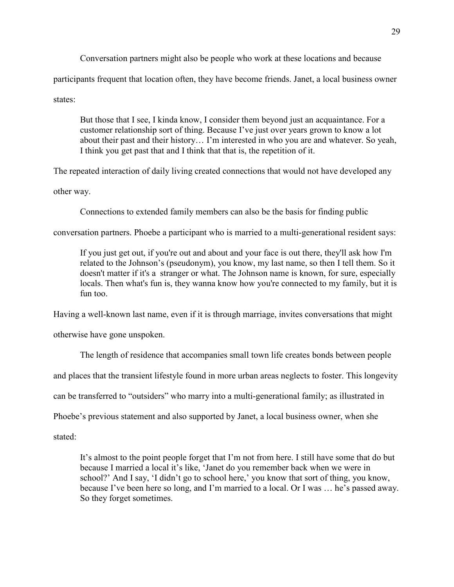Conversation partners might also be people who work at these locations and because participants frequent that location often, they have become friends. Janet, a local business owner states:

 But those that I see, I kinda know, I consider them beyond just an acquaintance. For a customer relationship sort of thing. Because I've just over years grown to know a lot about their past and their history… I'm interested in who you are and whatever. So yeah, I think you get past that and I think that that is, the repetition of it.

The repeated interaction of daily living created connections that would not have developed any

other way.

Connections to extended family members can also be the basis for finding public

conversation partners. Phoebe a participant who is married to a multi-generational resident says:

If you just get out, if you're out and about and your face is out there, they'll ask how I'm related to the Johnson's (pseudonym), you know, my last name, so then I tell them. So it doesn't matter if it's a stranger or what. The Johnson name is known, for sure, especially locals. Then what's fun is, they wanna know how you're connected to my family, but it is fun too.

Having a well-known last name, even if it is through marriage, invites conversations that might

otherwise have gone unspoken.

The length of residence that accompanies small town life creates bonds between people

and places that the transient lifestyle found in more urban areas neglects to foster. This longevity

can be transferred to "outsiders" who marry into a multi-generational family; as illustrated in

Phoebe's previous statement and also supported by Janet, a local business owner, when she

stated:

 It's almost to the point people forget that I'm not from here. I still have some that do but because I married a local it's like, 'Janet do you remember back when we were in school?' And I say, 'I didn't go to school here,' you know that sort of thing, you know, because I've been here so long, and I'm married to a local. Or I was … he's passed away. So they forget sometimes.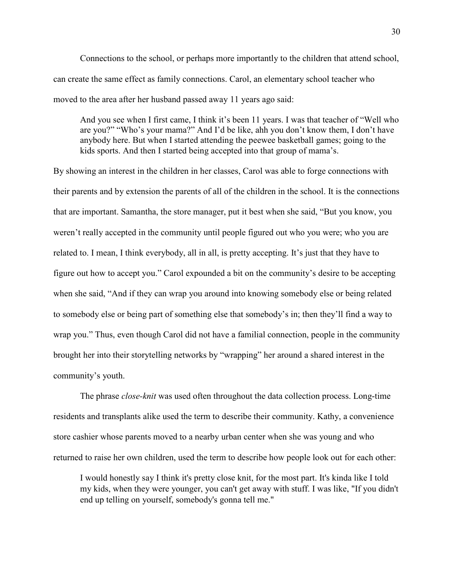Connections to the school, or perhaps more importantly to the children that attend school, can create the same effect as family connections. Carol, an elementary school teacher who moved to the area after her husband passed away 11 years ago said:

And you see when I first came, I think it's been 11 years. I was that teacher of "Well who are you?" "Who's your mama?" And I'd be like, ahh you don't know them, I don't have anybody here. But when I started attending the peewee basketball games; going to the kids sports. And then I started being accepted into that group of mama's.

By showing an interest in the children in her classes, Carol was able to forge connections with their parents and by extension the parents of all of the children in the school. It is the connections that are important. Samantha, the store manager, put it best when she said, "But you know, you weren't really accepted in the community until people figured out who you were; who you are related to. I mean, I think everybody, all in all, is pretty accepting. It's just that they have to figure out how to accept you." Carol expounded a bit on the community's desire to be accepting when she said, "And if they can wrap you around into knowing somebody else or being related to somebody else or being part of something else that somebody's in; then they'll find a way to wrap you." Thus, even though Carol did not have a familial connection, people in the community brought her into their storytelling networks by "wrapping" her around a shared interest in the community's youth.

 The phrase *close-knit* was used often throughout the data collection process. Long-time residents and transplants alike used the term to describe their community. Kathy, a convenience store cashier whose parents moved to a nearby urban center when she was young and who returned to raise her own children, used the term to describe how people look out for each other:

 I would honestly say I think it's pretty close knit, for the most part. It's kinda like I told my kids, when they were younger, you can't get away with stuff. I was like, "If you didn't end up telling on yourself, somebody's gonna tell me."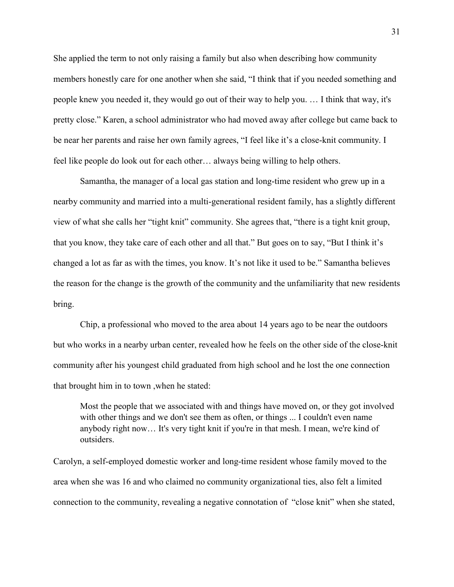She applied the term to not only raising a family but also when describing how community members honestly care for one another when she said, "I think that if you needed something and people knew you needed it, they would go out of their way to help you. … I think that way, it's pretty close." Karen, a school administrator who had moved away after college but came back to be near her parents and raise her own family agrees, "I feel like it's a close-knit community. I feel like people do look out for each other… always being willing to help others.

 Samantha, the manager of a local gas station and long-time resident who grew up in a nearby community and married into a multi-generational resident family, has a slightly different view of what she calls her "tight knit" community. She agrees that, "there is a tight knit group, that you know, they take care of each other and all that." But goes on to say, "But I think it's changed a lot as far as with the times, you know. It's not like it used to be." Samantha believes the reason for the change is the growth of the community and the unfamiliarity that new residents bring.

 Chip, a professional who moved to the area about 14 years ago to be near the outdoors but who works in a nearby urban center, revealed how he feels on the other side of the close-knit community after his youngest child graduated from high school and he lost the one connection that brought him in to town ,when he stated:

Most the people that we associated with and things have moved on, or they got involved with other things and we don't see them as often, or things ... I couldn't even name anybody right now… It's very tight knit if you're in that mesh. I mean, we're kind of outsiders.

Carolyn, a self-employed domestic worker and long-time resident whose family moved to the area when she was 16 and who claimed no community organizational ties, also felt a limited connection to the community, revealing a negative connotation of "close knit" when she stated,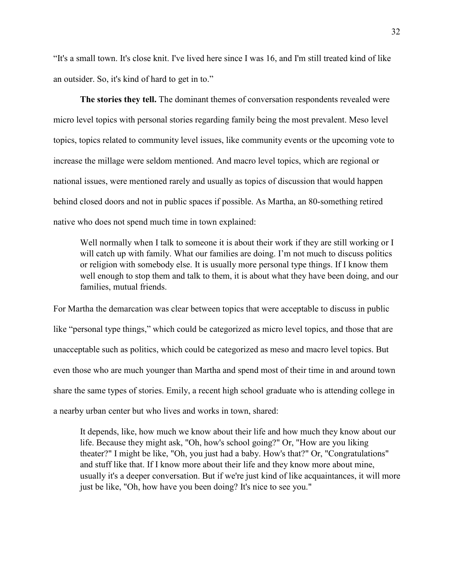"It's a small town. It's close knit. I've lived here since I was 16, and I'm still treated kind of like an outsider. So, it's kind of hard to get in to."

 **The stories they tell.** The dominant themes of conversation respondents revealed were micro level topics with personal stories regarding family being the most prevalent. Meso level topics, topics related to community level issues, like community events or the upcoming vote to increase the millage were seldom mentioned. And macro level topics, which are regional or national issues, were mentioned rarely and usually as topics of discussion that would happen behind closed doors and not in public spaces if possible. As Martha, an 80-something retired native who does not spend much time in town explained:

Well normally when I talk to someone it is about their work if they are still working or I will catch up with family. What our families are doing. I'm not much to discuss politics or religion with somebody else. It is usually more personal type things. If I know them well enough to stop them and talk to them, it is about what they have been doing, and our families, mutual friends.

For Martha the demarcation was clear between topics that were acceptable to discuss in public like "personal type things," which could be categorized as micro level topics, and those that are unacceptable such as politics, which could be categorized as meso and macro level topics. But even those who are much younger than Martha and spend most of their time in and around town share the same types of stories. Emily, a recent high school graduate who is attending college in a nearby urban center but who lives and works in town, shared:

It depends, like, how much we know about their life and how much they know about our life. Because they might ask, "Oh, how's school going?" Or, "How are you liking theater?" I might be like, "Oh, you just had a baby. How's that?" Or, "Congratulations" and stuff like that. If I know more about their life and they know more about mine, usually it's a deeper conversation. But if we're just kind of like acquaintances, it will more just be like, "Oh, how have you been doing? It's nice to see you."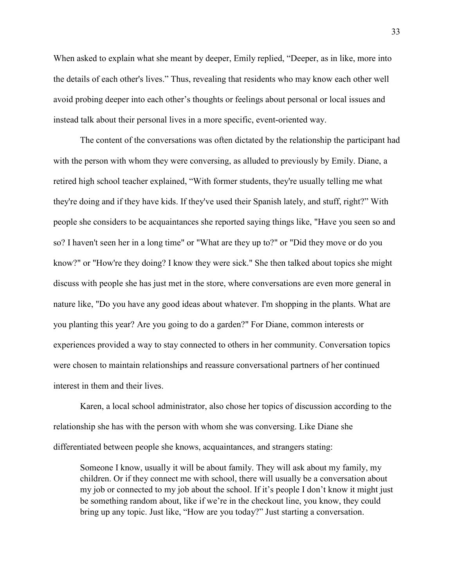When asked to explain what she meant by deeper, Emily replied, "Deeper, as in like, more into the details of each other's lives." Thus, revealing that residents who may know each other well avoid probing deeper into each other's thoughts or feelings about personal or local issues and instead talk about their personal lives in a more specific, event-oriented way.

 The content of the conversations was often dictated by the relationship the participant had with the person with whom they were conversing, as alluded to previously by Emily. Diane, a retired high school teacher explained, "With former students, they're usually telling me what they're doing and if they have kids. If they've used their Spanish lately, and stuff, right?" With people she considers to be acquaintances she reported saying things like, "Have you seen so and so? I haven't seen her in a long time" or "What are they up to?" or "Did they move or do you know?" or "How're they doing? I know they were sick." She then talked about topics she might discuss with people she has just met in the store, where conversations are even more general in nature like, "Do you have any good ideas about whatever. I'm shopping in the plants. What are you planting this year? Are you going to do a garden?" For Diane, common interests or experiences provided a way to stay connected to others in her community. Conversation topics were chosen to maintain relationships and reassure conversational partners of her continued interest in them and their lives.

 Karen, a local school administrator, also chose her topics of discussion according to the relationship she has with the person with whom she was conversing. Like Diane she differentiated between people she knows, acquaintances, and strangers stating:

Someone I know, usually it will be about family. They will ask about my family, my children. Or if they connect me with school, there will usually be a conversation about my job or connected to my job about the school. If it's people I don't know it might just be something random about, like if we're in the checkout line, you know, they could bring up any topic. Just like, "How are you today?" Just starting a conversation.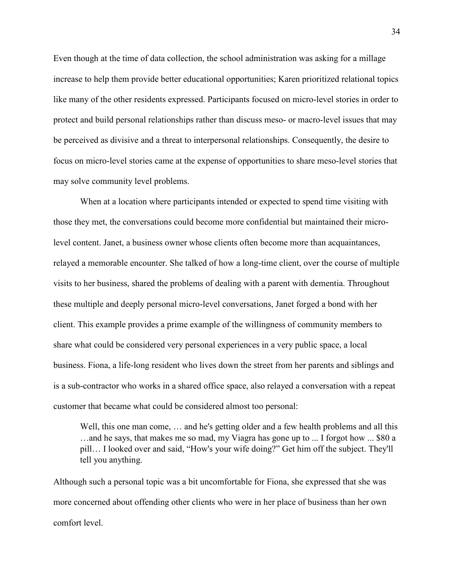Even though at the time of data collection, the school administration was asking for a millage increase to help them provide better educational opportunities; Karen prioritized relational topics like many of the other residents expressed. Participants focused on micro-level stories in order to protect and build personal relationships rather than discuss meso- or macro-level issues that may be perceived as divisive and a threat to interpersonal relationships. Consequently, the desire to focus on micro-level stories came at the expense of opportunities to share meso-level stories that may solve community level problems.

 When at a location where participants intended or expected to spend time visiting with those they met, the conversations could become more confidential but maintained their microlevel content. Janet, a business owner whose clients often become more than acquaintances, relayed a memorable encounter. She talked of how a long-time client, over the course of multiple visits to her business, shared the problems of dealing with a parent with dementia. Throughout these multiple and deeply personal micro-level conversations, Janet forged a bond with her client. This example provides a prime example of the willingness of community members to share what could be considered very personal experiences in a very public space, a local business. Fiona, a life-long resident who lives down the street from her parents and siblings and is a sub-contractor who works in a shared office space, also relayed a conversation with a repeat customer that became what could be considered almost too personal:

 Well, this one man come, … and he's getting older and a few health problems and all this …and he says, that makes me so mad, my Viagra has gone up to ... I forgot how ... \$80 a pill… I looked over and said, "How's your wife doing?" Get him off the subject. They'll tell you anything.

Although such a personal topic was a bit uncomfortable for Fiona, she expressed that she was more concerned about offending other clients who were in her place of business than her own comfort level.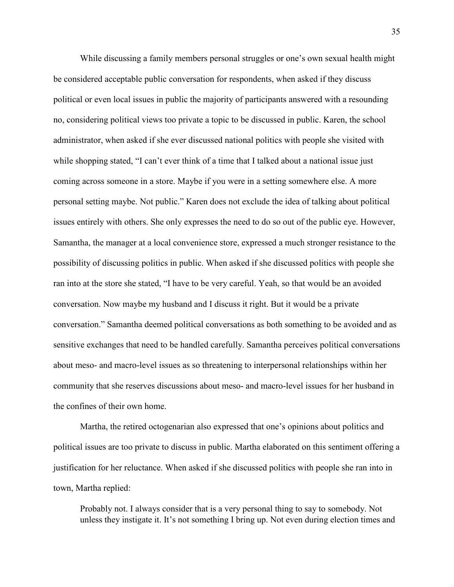While discussing a family members personal struggles or one's own sexual health might be considered acceptable public conversation for respondents, when asked if they discuss political or even local issues in public the majority of participants answered with a resounding no, considering political views too private a topic to be discussed in public. Karen, the school administrator, when asked if she ever discussed national politics with people she visited with while shopping stated, "I can't ever think of a time that I talked about a national issue just coming across someone in a store. Maybe if you were in a setting somewhere else. A more personal setting maybe. Not public." Karen does not exclude the idea of talking about political issues entirely with others. She only expresses the need to do so out of the public eye. However, Samantha, the manager at a local convenience store, expressed a much stronger resistance to the possibility of discussing politics in public. When asked if she discussed politics with people she ran into at the store she stated, "I have to be very careful. Yeah, so that would be an avoided conversation. Now maybe my husband and I discuss it right. But it would be a private conversation." Samantha deemed political conversations as both something to be avoided and as sensitive exchanges that need to be handled carefully. Samantha perceives political conversations about meso- and macro-level issues as so threatening to interpersonal relationships within her community that she reserves discussions about meso- and macro-level issues for her husband in the confines of their own home.

Martha, the retired octogenarian also expressed that one's opinions about politics and political issues are too private to discuss in public. Martha elaborated on this sentiment offering a justification for her reluctance. When asked if she discussed politics with people she ran into in town, Martha replied:

Probably not. I always consider that is a very personal thing to say to somebody. Not unless they instigate it. It's not something I bring up. Not even during election times and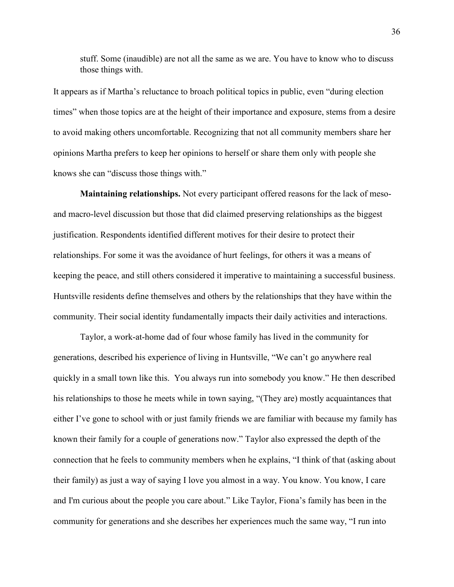stuff. Some (inaudible) are not all the same as we are. You have to know who to discuss those things with.

It appears as if Martha's reluctance to broach political topics in public, even "during election times" when those topics are at the height of their importance and exposure, stems from a desire to avoid making others uncomfortable. Recognizing that not all community members share her opinions Martha prefers to keep her opinions to herself or share them only with people she knows she can "discuss those things with."

**Maintaining relationships.** Not every participant offered reasons for the lack of mesoand macro-level discussion but those that did claimed preserving relationships as the biggest justification. Respondents identified different motives for their desire to protect their relationships. For some it was the avoidance of hurt feelings, for others it was a means of keeping the peace, and still others considered it imperative to maintaining a successful business. Huntsville residents define themselves and others by the relationships that they have within the community. Their social identity fundamentally impacts their daily activities and interactions.

 Taylor, a work-at-home dad of four whose family has lived in the community for generations, described his experience of living in Huntsville, "We can't go anywhere real quickly in a small town like this. You always run into somebody you know." He then described his relationships to those he meets while in town saying, "(They are) mostly acquaintances that either I've gone to school with or just family friends we are familiar with because my family has known their family for a couple of generations now." Taylor also expressed the depth of the connection that he feels to community members when he explains, "I think of that (asking about their family) as just a way of saying I love you almost in a way. You know. You know, I care and I'm curious about the people you care about." Like Taylor, Fiona's family has been in the community for generations and she describes her experiences much the same way, "I run into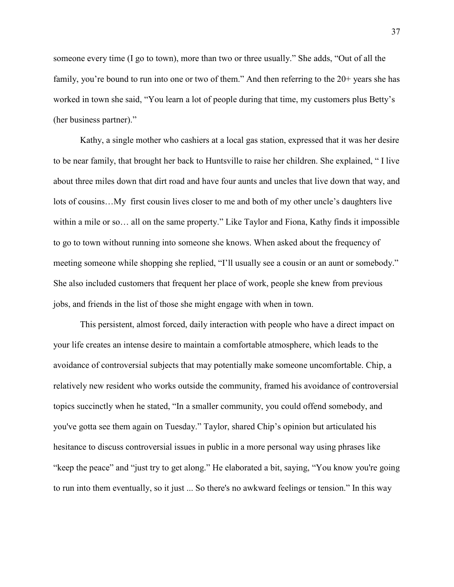someone every time (I go to town), more than two or three usually." She adds, "Out of all the family, you're bound to run into one or two of them." And then referring to the 20+ years she has worked in town she said, "You learn a lot of people during that time, my customers plus Betty's (her business partner)."

 Kathy, a single mother who cashiers at a local gas station, expressed that it was her desire to be near family, that brought her back to Huntsville to raise her children. She explained, " I live about three miles down that dirt road and have four aunts and uncles that live down that way, and lots of cousins…My first cousin lives closer to me and both of my other uncle's daughters live within a mile or so… all on the same property." Like Taylor and Fiona, Kathy finds it impossible to go to town without running into someone she knows. When asked about the frequency of meeting someone while shopping she replied, "I'll usually see a cousin or an aunt or somebody." She also included customers that frequent her place of work, people she knew from previous jobs, and friends in the list of those she might engage with when in town.

 This persistent, almost forced, daily interaction with people who have a direct impact on your life creates an intense desire to maintain a comfortable atmosphere, which leads to the avoidance of controversial subjects that may potentially make someone uncomfortable. Chip, a relatively new resident who works outside the community, framed his avoidance of controversial topics succinctly when he stated, "In a smaller community, you could offend somebody, and you've gotta see them again on Tuesday." Taylor, shared Chip's opinion but articulated his hesitance to discuss controversial issues in public in a more personal way using phrases like "keep the peace" and "just try to get along." He elaborated a bit, saying, "You know you're going to run into them eventually, so it just ... So there's no awkward feelings or tension." In this way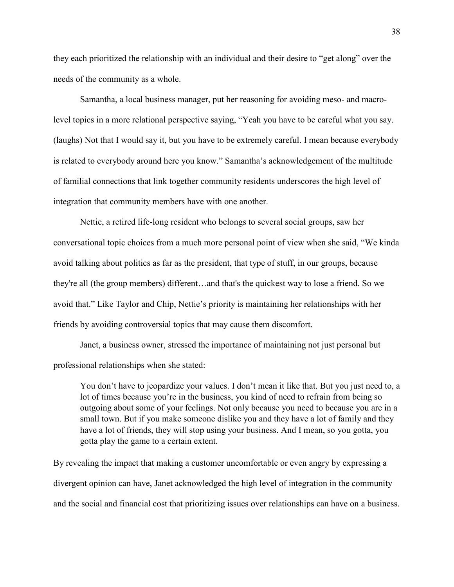they each prioritized the relationship with an individual and their desire to "get along" over the needs of the community as a whole.

 Samantha, a local business manager, put her reasoning for avoiding meso- and macrolevel topics in a more relational perspective saying, "Yeah you have to be careful what you say. (laughs) Not that I would say it, but you have to be extremely careful. I mean because everybody is related to everybody around here you know." Samantha's acknowledgement of the multitude of familial connections that link together community residents underscores the high level of integration that community members have with one another.

 Nettie, a retired life-long resident who belongs to several social groups, saw her conversational topic choices from a much more personal point of view when she said, "We kinda avoid talking about politics as far as the president, that type of stuff, in our groups, because they're all (the group members) different…and that's the quickest way to lose a friend. So we avoid that." Like Taylor and Chip, Nettie's priority is maintaining her relationships with her friends by avoiding controversial topics that may cause them discomfort.

 Janet, a business owner, stressed the importance of maintaining not just personal but professional relationships when she stated:

You don't have to jeopardize your values. I don't mean it like that. But you just need to, a lot of times because you're in the business, you kind of need to refrain from being so outgoing about some of your feelings. Not only because you need to because you are in a small town. But if you make someone dislike you and they have a lot of family and they have a lot of friends, they will stop using your business. And I mean, so you gotta, you gotta play the game to a certain extent.

By revealing the impact that making a customer uncomfortable or even angry by expressing a divergent opinion can have, Janet acknowledged the high level of integration in the community and the social and financial cost that prioritizing issues over relationships can have on a business.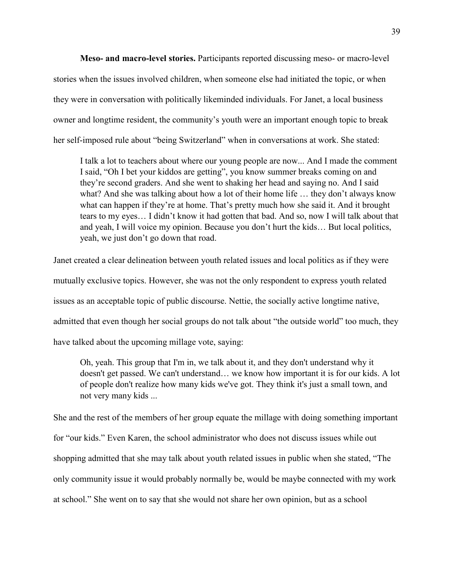**Meso- and macro-level stories.** Participants reported discussing meso- or macro-level stories when the issues involved children, when someone else had initiated the topic, or when they were in conversation with politically likeminded individuals. For Janet, a local business owner and longtime resident, the community's youth were an important enough topic to break her self-imposed rule about "being Switzerland" when in conversations at work. She stated:

I talk a lot to teachers about where our young people are now... And I made the comment I said, "Oh I bet your kiddos are getting", you know summer breaks coming on and they're second graders. And she went to shaking her head and saying no. And I said what? And she was talking about how a lot of their home life … they don't always know what can happen if they're at home. That's pretty much how she said it. And it brought tears to my eyes… I didn't know it had gotten that bad. And so, now I will talk about that and yeah, I will voice my opinion. Because you don't hurt the kids… But local politics, yeah, we just don't go down that road.

Janet created a clear delineation between youth related issues and local politics as if they were mutually exclusive topics. However, she was not the only respondent to express youth related issues as an acceptable topic of public discourse. Nettie, the socially active longtime native, admitted that even though her social groups do not talk about "the outside world" too much, they have talked about the upcoming millage vote, saying:

Oh, yeah. This group that I'm in, we talk about it, and they don't understand why it doesn't get passed. We can't understand… we know how important it is for our kids. A lot of people don't realize how many kids we've got. They think it's just a small town, and not very many kids ...

She and the rest of the members of her group equate the millage with doing something important for "our kids." Even Karen, the school administrator who does not discuss issues while out shopping admitted that she may talk about youth related issues in public when she stated, "The only community issue it would probably normally be, would be maybe connected with my work at school." She went on to say that she would not share her own opinion, but as a school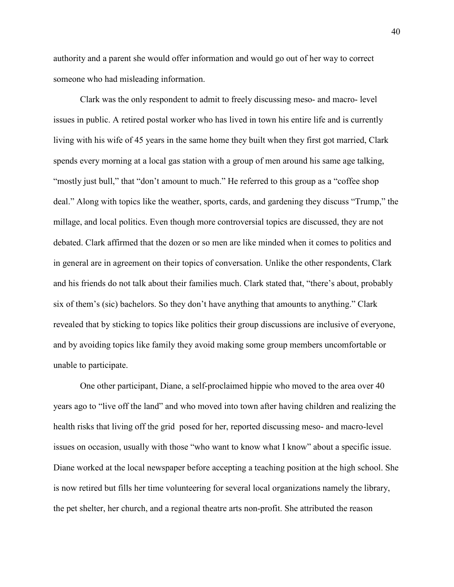authority and a parent she would offer information and would go out of her way to correct someone who had misleading information.

Clark was the only respondent to admit to freely discussing meso- and macro- level issues in public. A retired postal worker who has lived in town his entire life and is currently living with his wife of 45 years in the same home they built when they first got married, Clark spends every morning at a local gas station with a group of men around his same age talking, "mostly just bull," that "don't amount to much." He referred to this group as a "coffee shop deal." Along with topics like the weather, sports, cards, and gardening they discuss "Trump," the millage, and local politics. Even though more controversial topics are discussed, they are not debated. Clark affirmed that the dozen or so men are like minded when it comes to politics and in general are in agreement on their topics of conversation. Unlike the other respondents, Clark and his friends do not talk about their families much. Clark stated that, "there's about, probably six of them's (sic) bachelors. So they don't have anything that amounts to anything." Clark revealed that by sticking to topics like politics their group discussions are inclusive of everyone, and by avoiding topics like family they avoid making some group members uncomfortable or unable to participate.

 One other participant, Diane, a self-proclaimed hippie who moved to the area over 40 years ago to "live off the land" and who moved into town after having children and realizing the health risks that living off the grid posed for her, reported discussing meso- and macro-level issues on occasion, usually with those "who want to know what I know" about a specific issue. Diane worked at the local newspaper before accepting a teaching position at the high school. She is now retired but fills her time volunteering for several local organizations namely the library, the pet shelter, her church, and a regional theatre arts non-profit. She attributed the reason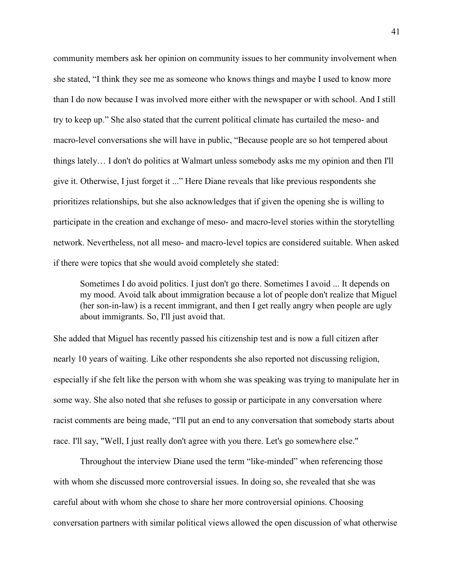community members ask her opinion on community issues to her community involvement when she stated, "I think they see me as someone who knows things and maybe I used to know more than I do now because I was involved more either with the newspaper or with school. And I still try to keep up." She also stated that the current political climate has curtailed the meso- and macro-level conversations she will have in public, "Because people are so hot tempered about things lately… I don't do politics at Walmart unless somebody asks me my opinion and then I'll give it. Otherwise, I just forget it ..." Here Diane reveals that like previous respondents she prioritizes relationships, but she also acknowledges that if given the opening she is willing to participate in the creation and exchange of meso- and macro-level stories within the storytelling network. Nevertheless, not all meso- and macro-level topics are considered suitable. When asked if there were topics that she would avoid completely she stated:

Sometimes I do avoid politics. I just don't go there. Sometimes I avoid ... It depends on my mood. Avoid talk about immigration because a lot of people don't realize that Miguel (her son-in-law) is a recent immigrant, and then I get really angry when people are ugly about immigrants. So, I'll just avoid that.

She added that Miguel has recently passed his citizenship test and is now a full citizen after nearly 10 years of waiting. Like other respondents she also reported not discussing religion, especially if she felt like the person with whom she was speaking was trying to manipulate her in some way. She also noted that she refuses to gossip or participate in any conversation where racist comments are being made, "I'll put an end to any conversation that somebody starts about race. I'll say, "Well, I just really don't agree with you there. Let's go somewhere else."

 Throughout the interview Diane used the term "like-minded" when referencing those with whom she discussed more controversial issues. In doing so, she revealed that she was careful about with whom she chose to share her more controversial opinions. Choosing conversation partners with similar political views allowed the open discussion of what otherwise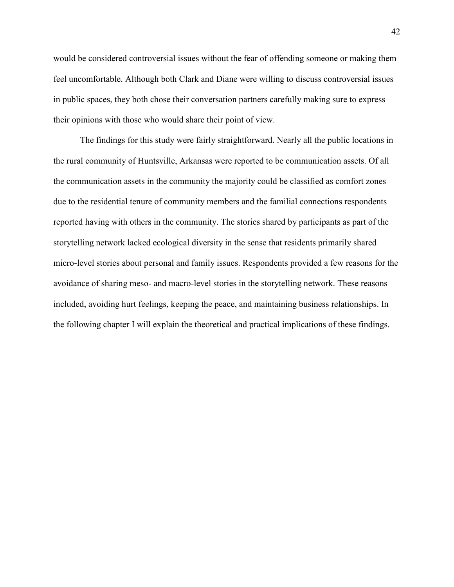would be considered controversial issues without the fear of offending someone or making them feel uncomfortable. Although both Clark and Diane were willing to discuss controversial issues in public spaces, they both chose their conversation partners carefully making sure to express their opinions with those who would share their point of view.

 The findings for this study were fairly straightforward. Nearly all the public locations in the rural community of Huntsville, Arkansas were reported to be communication assets. Of all the communication assets in the community the majority could be classified as comfort zones due to the residential tenure of community members and the familial connections respondents reported having with others in the community. The stories shared by participants as part of the storytelling network lacked ecological diversity in the sense that residents primarily shared micro-level stories about personal and family issues. Respondents provided a few reasons for the avoidance of sharing meso- and macro-level stories in the storytelling network. These reasons included, avoiding hurt feelings, keeping the peace, and maintaining business relationships. In the following chapter I will explain the theoretical and practical implications of these findings.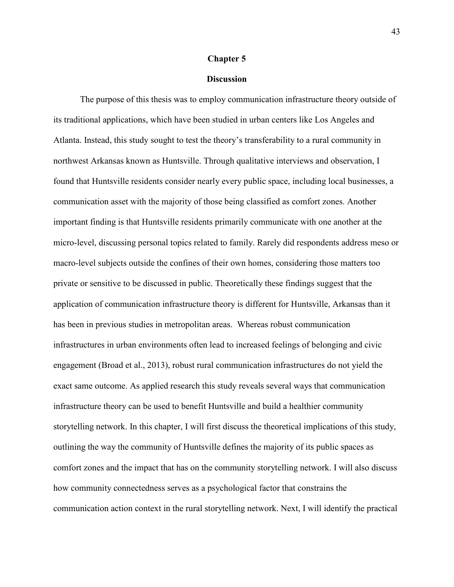#### **Chapter 5**

### **Discussion**

 The purpose of this thesis was to employ communication infrastructure theory outside of its traditional applications, which have been studied in urban centers like Los Angeles and Atlanta. Instead, this study sought to test the theory's transferability to a rural community in northwest Arkansas known as Huntsville. Through qualitative interviews and observation, I found that Huntsville residents consider nearly every public space, including local businesses, a communication asset with the majority of those being classified as comfort zones. Another important finding is that Huntsville residents primarily communicate with one another at the micro-level, discussing personal topics related to family. Rarely did respondents address meso or macro-level subjects outside the confines of their own homes, considering those matters too private or sensitive to be discussed in public. Theoretically these findings suggest that the application of communication infrastructure theory is different for Huntsville, Arkansas than it has been in previous studies in metropolitan areas. Whereas robust communication infrastructures in urban environments often lead to increased feelings of belonging and civic engagement (Broad et al., 2013), robust rural communication infrastructures do not yield the exact same outcome. As applied research this study reveals several ways that communication infrastructure theory can be used to benefit Huntsville and build a healthier community storytelling network. In this chapter, I will first discuss the theoretical implications of this study, outlining the way the community of Huntsville defines the majority of its public spaces as comfort zones and the impact that has on the community storytelling network. I will also discuss how community connectedness serves as a psychological factor that constrains the communication action context in the rural storytelling network. Next, I will identify the practical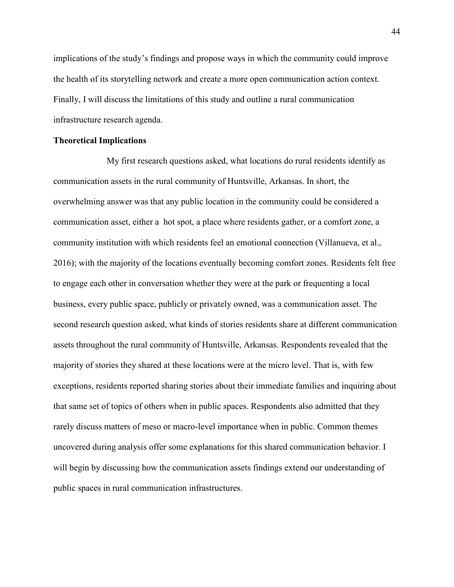implications of the study's findings and propose ways in which the community could improve the health of its storytelling network and create a more open communication action context. Finally, I will discuss the limitations of this study and outline a rural communication infrastructure research agenda.

#### **Theoretical Implications**

 My first research questions asked, what locations do rural residents identify as communication assets in the rural community of Huntsville, Arkansas. In short, the overwhelming answer was that any public location in the community could be considered a communication asset, either a hot spot, a place where residents gather, or a comfort zone, a community institution with which residents feel an emotional connection (Villanueva, et al., 2016); with the majority of the locations eventually becoming comfort zones. Residents felt free to engage each other in conversation whether they were at the park or frequenting a local business, every public space, publicly or privately owned, was a communication asset. The second research question asked, what kinds of stories residents share at different communication assets throughout the rural community of Huntsville, Arkansas. Respondents revealed that the majority of stories they shared at these locations were at the micro level. That is, with few exceptions, residents reported sharing stories about their immediate families and inquiring about that same set of topics of others when in public spaces. Respondents also admitted that they rarely discuss matters of meso or macro-level importance when in public. Common themes uncovered during analysis offer some explanations for this shared communication behavior. I will begin by discussing how the communication assets findings extend our understanding of public spaces in rural communication infrastructures.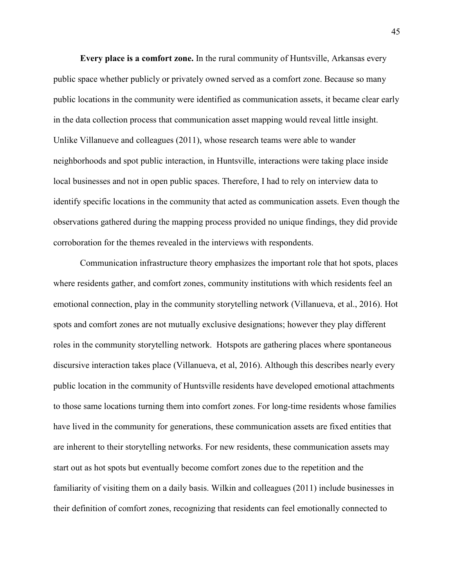**Every place is a comfort zone.** In the rural community of Huntsville, Arkansas every public space whether publicly or privately owned served as a comfort zone. Because so many public locations in the community were identified as communication assets, it became clear early in the data collection process that communication asset mapping would reveal little insight. Unlike Villanueve and colleagues (2011), whose research teams were able to wander neighborhoods and spot public interaction, in Huntsville, interactions were taking place inside local businesses and not in open public spaces. Therefore, I had to rely on interview data to identify specific locations in the community that acted as communication assets. Even though the observations gathered during the mapping process provided no unique findings, they did provide corroboration for the themes revealed in the interviews with respondents.

 Communication infrastructure theory emphasizes the important role that hot spots, places where residents gather, and comfort zones, community institutions with which residents feel an emotional connection, play in the community storytelling network (Villanueva, et al., 2016). Hot spots and comfort zones are not mutually exclusive designations; however they play different roles in the community storytelling network. Hotspots are gathering places where spontaneous discursive interaction takes place (Villanueva, et al, 2016). Although this describes nearly every public location in the community of Huntsville residents have developed emotional attachments to those same locations turning them into comfort zones. For long-time residents whose families have lived in the community for generations, these communication assets are fixed entities that are inherent to their storytelling networks. For new residents, these communication assets may start out as hot spots but eventually become comfort zones due to the repetition and the familiarity of visiting them on a daily basis. Wilkin and colleagues (2011) include businesses in their definition of comfort zones, recognizing that residents can feel emotionally connected to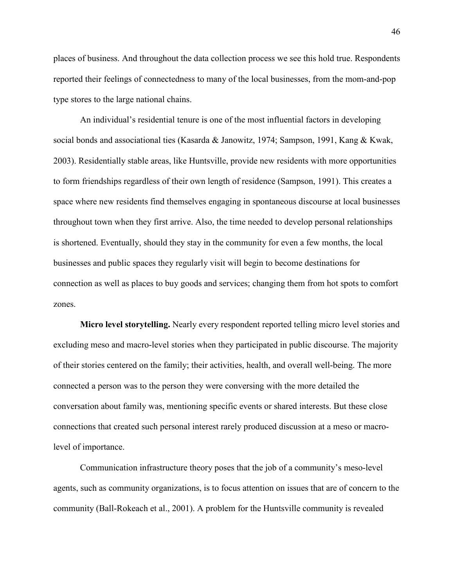places of business. And throughout the data collection process we see this hold true. Respondents reported their feelings of connectedness to many of the local businesses, from the mom-and-pop type stores to the large national chains.

 An individual's residential tenure is one of the most influential factors in developing social bonds and associational ties (Kasarda & Janowitz, 1974; Sampson, 1991, Kang & Kwak, 2003). Residentially stable areas, like Huntsville, provide new residents with more opportunities to form friendships regardless of their own length of residence (Sampson, 1991). This creates a space where new residents find themselves engaging in spontaneous discourse at local businesses throughout town when they first arrive. Also, the time needed to develop personal relationships is shortened. Eventually, should they stay in the community for even a few months, the local businesses and public spaces they regularly visit will begin to become destinations for connection as well as places to buy goods and services; changing them from hot spots to comfort zones.

 **Micro level storytelling.** Nearly every respondent reported telling micro level stories and excluding meso and macro-level stories when they participated in public discourse. The majority of their stories centered on the family; their activities, health, and overall well-being. The more connected a person was to the person they were conversing with the more detailed the conversation about family was, mentioning specific events or shared interests. But these close connections that created such personal interest rarely produced discussion at a meso or macrolevel of importance.

 Communication infrastructure theory poses that the job of a community's meso-level agents, such as community organizations, is to focus attention on issues that are of concern to the community (Ball-Rokeach et al., 2001). A problem for the Huntsville community is revealed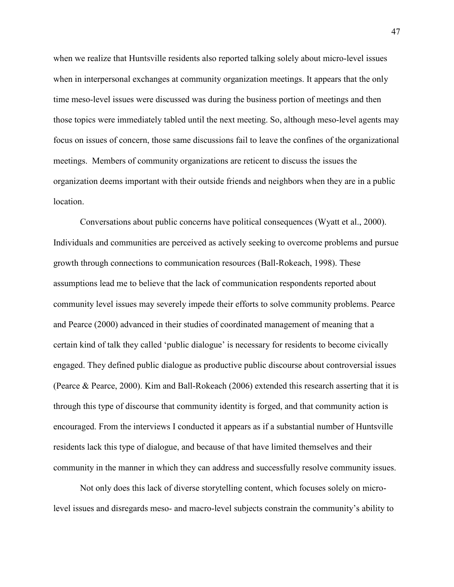when we realize that Huntsville residents also reported talking solely about micro-level issues when in interpersonal exchanges at community organization meetings. It appears that the only time meso-level issues were discussed was during the business portion of meetings and then those topics were immediately tabled until the next meeting. So, although meso-level agents may focus on issues of concern, those same discussions fail to leave the confines of the organizational meetings. Members of community organizations are reticent to discuss the issues the organization deems important with their outside friends and neighbors when they are in a public **location** 

 Conversations about public concerns have political consequences (Wyatt et al., 2000). Individuals and communities are perceived as actively seeking to overcome problems and pursue growth through connections to communication resources (Ball-Rokeach, 1998). These assumptions lead me to believe that the lack of communication respondents reported about community level issues may severely impede their efforts to solve community problems. Pearce and Pearce (2000) advanced in their studies of coordinated management of meaning that a certain kind of talk they called 'public dialogue' is necessary for residents to become civically engaged. They defined public dialogue as productive public discourse about controversial issues (Pearce & Pearce, 2000). Kim and Ball-Rokeach (2006) extended this research asserting that it is through this type of discourse that community identity is forged, and that community action is encouraged. From the interviews I conducted it appears as if a substantial number of Huntsville residents lack this type of dialogue, and because of that have limited themselves and their community in the manner in which they can address and successfully resolve community issues.

 Not only does this lack of diverse storytelling content, which focuses solely on microlevel issues and disregards meso- and macro-level subjects constrain the community's ability to

47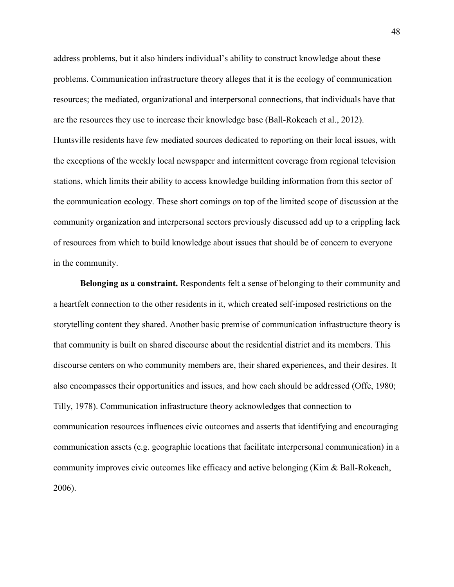address problems, but it also hinders individual's ability to construct knowledge about these problems. Communication infrastructure theory alleges that it is the ecology of communication resources; the mediated, organizational and interpersonal connections, that individuals have that are the resources they use to increase their knowledge base (Ball-Rokeach et al., 2012). Huntsville residents have few mediated sources dedicated to reporting on their local issues, with the exceptions of the weekly local newspaper and intermittent coverage from regional television stations, which limits their ability to access knowledge building information from this sector of the communication ecology. These short comings on top of the limited scope of discussion at the community organization and interpersonal sectors previously discussed add up to a crippling lack of resources from which to build knowledge about issues that should be of concern to everyone in the community.

 **Belonging as a constraint.** Respondents felt a sense of belonging to their community and a heartfelt connection to the other residents in it, which created self-imposed restrictions on the storytelling content they shared. Another basic premise of communication infrastructure theory is that community is built on shared discourse about the residential district and its members. This discourse centers on who community members are, their shared experiences, and their desires. It also encompasses their opportunities and issues, and how each should be addressed (Offe, 1980; Tilly, 1978). Communication infrastructure theory acknowledges that connection to communication resources influences civic outcomes and asserts that identifying and encouraging communication assets (e.g. geographic locations that facilitate interpersonal communication) in a community improves civic outcomes like efficacy and active belonging (Kim & Ball-Rokeach, 2006).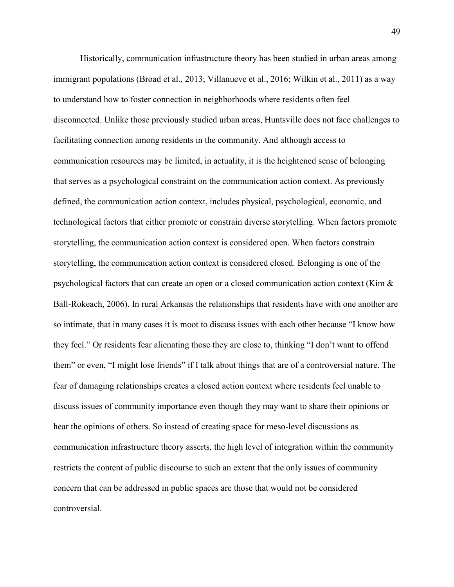Historically, communication infrastructure theory has been studied in urban areas among immigrant populations (Broad et al., 2013; Villanueve et al., 2016; Wilkin et al., 2011) as a way to understand how to foster connection in neighborhoods where residents often feel disconnected. Unlike those previously studied urban areas, Huntsville does not face challenges to facilitating connection among residents in the community. And although access to communication resources may be limited, in actuality, it is the heightened sense of belonging that serves as a psychological constraint on the communication action context. As previously defined, the communication action context, includes physical, psychological, economic, and technological factors that either promote or constrain diverse storytelling. When factors promote storytelling, the communication action context is considered open. When factors constrain storytelling, the communication action context is considered closed. Belonging is one of the psychological factors that can create an open or a closed communication action context (Kim & Ball-Rokeach, 2006). In rural Arkansas the relationships that residents have with one another are so intimate, that in many cases it is moot to discuss issues with each other because "I know how they feel." Or residents fear alienating those they are close to, thinking "I don't want to offend them" or even, "I might lose friends" if I talk about things that are of a controversial nature. The fear of damaging relationships creates a closed action context where residents feel unable to discuss issues of community importance even though they may want to share their opinions or hear the opinions of others. So instead of creating space for meso-level discussions as communication infrastructure theory asserts, the high level of integration within the community restricts the content of public discourse to such an extent that the only issues of community concern that can be addressed in public spaces are those that would not be considered controversial.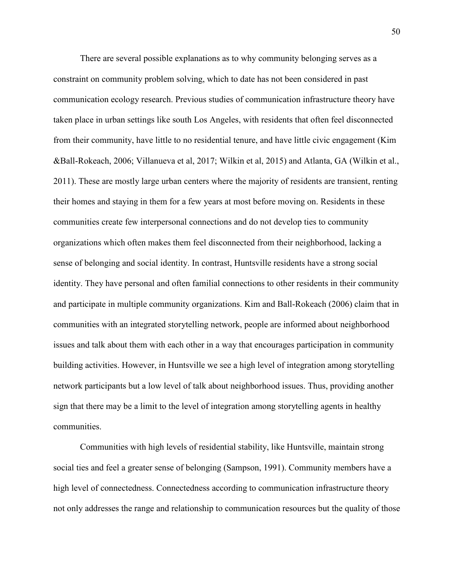There are several possible explanations as to why community belonging serves as a constraint on community problem solving, which to date has not been considered in past communication ecology research. Previous studies of communication infrastructure theory have taken place in urban settings like south Los Angeles, with residents that often feel disconnected from their community, have little to no residential tenure, and have little civic engagement (Kim &Ball-Rokeach, 2006; Villanueva et al, 2017; Wilkin et al, 2015) and Atlanta, GA (Wilkin et al., 2011). These are mostly large urban centers where the majority of residents are transient, renting their homes and staying in them for a few years at most before moving on. Residents in these communities create few interpersonal connections and do not develop ties to community organizations which often makes them feel disconnected from their neighborhood, lacking a sense of belonging and social identity. In contrast, Huntsville residents have a strong social identity. They have personal and often familial connections to other residents in their community and participate in multiple community organizations. Kim and Ball-Rokeach (2006) claim that in communities with an integrated storytelling network, people are informed about neighborhood issues and talk about them with each other in a way that encourages participation in community building activities. However, in Huntsville we see a high level of integration among storytelling network participants but a low level of talk about neighborhood issues. Thus, providing another sign that there may be a limit to the level of integration among storytelling agents in healthy communities.

 Communities with high levels of residential stability, like Huntsville, maintain strong social ties and feel a greater sense of belonging (Sampson, 1991). Community members have a high level of connectedness. Connectedness according to communication infrastructure theory not only addresses the range and relationship to communication resources but the quality of those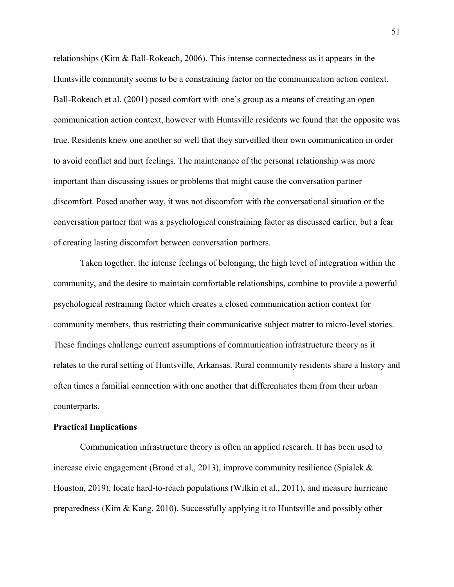relationships (Kim & Ball-Rokeach, 2006). This intense connectedness as it appears in the Huntsville community seems to be a constraining factor on the communication action context. Ball-Rokeach et al. (2001) posed comfort with one's group as a means of creating an open communication action context, however with Huntsville residents we found that the opposite was true. Residents knew one another so well that they surveilled their own communication in order to avoid conflict and hurt feelings. The maintenance of the personal relationship was more important than discussing issues or problems that might cause the conversation partner discomfort. Posed another way, it was not discomfort with the conversational situation or the conversation partner that was a psychological constraining factor as discussed earlier, but a fear of creating lasting discomfort between conversation partners.

 Taken together, the intense feelings of belonging, the high level of integration within the community, and the desire to maintain comfortable relationships, combine to provide a powerful psychological restraining factor which creates a closed communication action context for community members, thus restricting their communicative subject matter to micro-level stories. These findings challenge current assumptions of communication infrastructure theory as it relates to the rural setting of Huntsville, Arkansas. Rural community residents share a history and often times a familial connection with one another that differentiates them from their urban counterparts.

#### **Practical Implications**

 Communication infrastructure theory is often an applied research. It has been used to increase civic engagement (Broad et al., 2013), improve community resilience (Spialek  $\&$ Houston, 2019), locate hard-to-reach populations (Wilkin et al., 2011), and measure hurricane preparedness (Kim & Kang, 2010). Successfully applying it to Huntsville and possibly other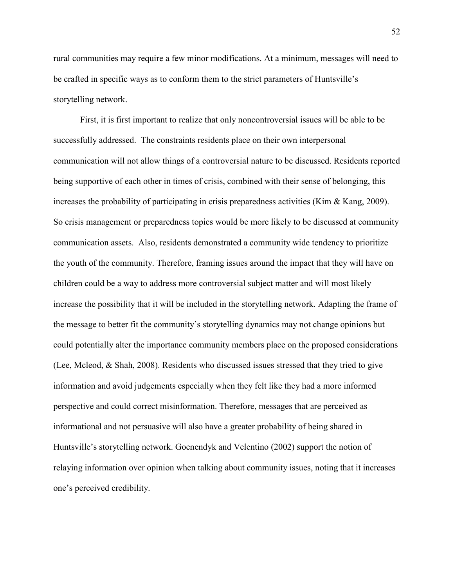rural communities may require a few minor modifications. At a minimum, messages will need to be crafted in specific ways as to conform them to the strict parameters of Huntsville's storytelling network.

 First, it is first important to realize that only noncontroversial issues will be able to be successfully addressed. The constraints residents place on their own interpersonal communication will not allow things of a controversial nature to be discussed. Residents reported being supportive of each other in times of crisis, combined with their sense of belonging, this increases the probability of participating in crisis preparedness activities (Kim & Kang, 2009). So crisis management or preparedness topics would be more likely to be discussed at community communication assets. Also, residents demonstrated a community wide tendency to prioritize the youth of the community. Therefore, framing issues around the impact that they will have on children could be a way to address more controversial subject matter and will most likely increase the possibility that it will be included in the storytelling network. Adapting the frame of the message to better fit the community's storytelling dynamics may not change opinions but could potentially alter the importance community members place on the proposed considerations (Lee, Mcleod, & Shah, 2008). Residents who discussed issues stressed that they tried to give information and avoid judgements especially when they felt like they had a more informed perspective and could correct misinformation. Therefore, messages that are perceived as informational and not persuasive will also have a greater probability of being shared in Huntsville's storytelling network. Goenendyk and Velentino (2002) support the notion of relaying information over opinion when talking about community issues, noting that it increases one's perceived credibility.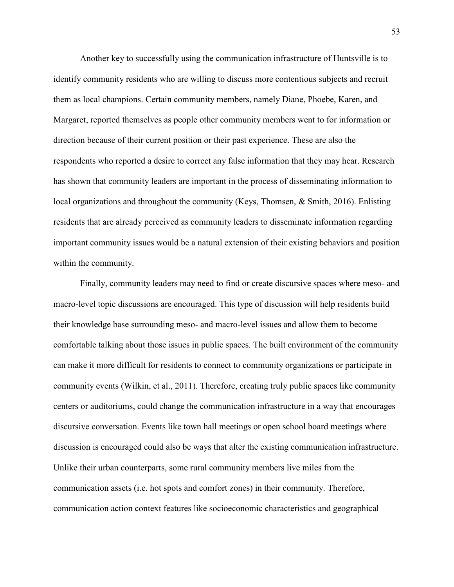Another key to successfully using the communication infrastructure of Huntsville is to identify community residents who are willing to discuss more contentious subjects and recruit them as local champions. Certain community members, namely Diane, Phoebe, Karen, and Margaret, reported themselves as people other community members went to for information or direction because of their current position or their past experience. These are also the respondents who reported a desire to correct any false information that they may hear. Research has shown that community leaders are important in the process of disseminating information to local organizations and throughout the community (Keys, Thomsen, & Smith, 2016). Enlisting residents that are already perceived as community leaders to disseminate information regarding important community issues would be a natural extension of their existing behaviors and position within the community.

 Finally, community leaders may need to find or create discursive spaces where meso- and macro-level topic discussions are encouraged. This type of discussion will help residents build their knowledge base surrounding meso- and macro-level issues and allow them to become comfortable talking about those issues in public spaces. The built environment of the community can make it more difficult for residents to connect to community organizations or participate in community events (Wilkin, et al., 2011). Therefore, creating truly public spaces like community centers or auditoriums, could change the communication infrastructure in a way that encourages discursive conversation. Events like town hall meetings or open school board meetings where discussion is encouraged could also be ways that alter the existing communication infrastructure. Unlike their urban counterparts, some rural community members live miles from the communication assets (i.e. hot spots and comfort zones) in their community. Therefore, communication action context features like socioeconomic characteristics and geographical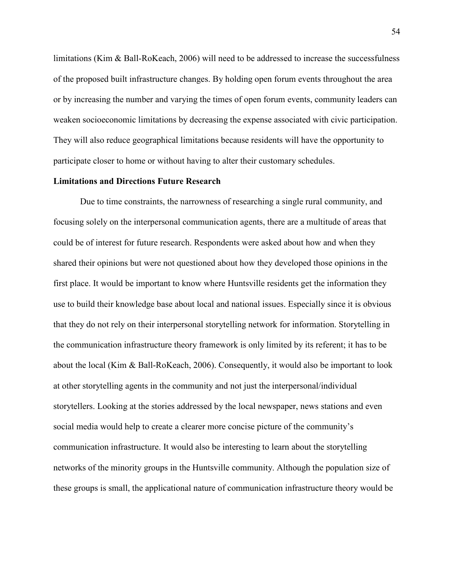limitations (Kim & Ball-RoKeach, 2006) will need to be addressed to increase the successfulness of the proposed built infrastructure changes. By holding open forum events throughout the area or by increasing the number and varying the times of open forum events, community leaders can weaken socioeconomic limitations by decreasing the expense associated with civic participation. They will also reduce geographical limitations because residents will have the opportunity to participate closer to home or without having to alter their customary schedules.

### **Limitations and Directions Future Research**

 Due to time constraints, the narrowness of researching a single rural community, and focusing solely on the interpersonal communication agents, there are a multitude of areas that could be of interest for future research. Respondents were asked about how and when they shared their opinions but were not questioned about how they developed those opinions in the first place. It would be important to know where Huntsville residents get the information they use to build their knowledge base about local and national issues. Especially since it is obvious that they do not rely on their interpersonal storytelling network for information. Storytelling in the communication infrastructure theory framework is only limited by its referent; it has to be about the local (Kim & Ball-RoKeach, 2006). Consequently, it would also be important to look at other storytelling agents in the community and not just the interpersonal/individual storytellers. Looking at the stories addressed by the local newspaper, news stations and even social media would help to create a clearer more concise picture of the community's communication infrastructure. It would also be interesting to learn about the storytelling networks of the minority groups in the Huntsville community. Although the population size of these groups is small, the applicational nature of communication infrastructure theory would be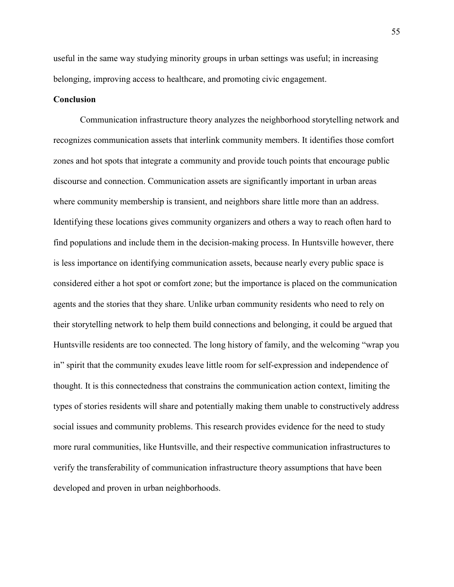useful in the same way studying minority groups in urban settings was useful; in increasing belonging, improving access to healthcare, and promoting civic engagement.

### **Conclusion**

 Communication infrastructure theory analyzes the neighborhood storytelling network and recognizes communication assets that interlink community members. It identifies those comfort zones and hot spots that integrate a community and provide touch points that encourage public discourse and connection. Communication assets are significantly important in urban areas where community membership is transient, and neighbors share little more than an address. Identifying these locations gives community organizers and others a way to reach often hard to find populations and include them in the decision-making process. In Huntsville however, there is less importance on identifying communication assets, because nearly every public space is considered either a hot spot or comfort zone; but the importance is placed on the communication agents and the stories that they share. Unlike urban community residents who need to rely on their storytelling network to help them build connections and belonging, it could be argued that Huntsville residents are too connected. The long history of family, and the welcoming "wrap you in" spirit that the community exudes leave little room for self-expression and independence of thought. It is this connectedness that constrains the communication action context, limiting the types of stories residents will share and potentially making them unable to constructively address social issues and community problems. This research provides evidence for the need to study more rural communities, like Huntsville, and their respective communication infrastructures to verify the transferability of communication infrastructure theory assumptions that have been developed and proven in urban neighborhoods.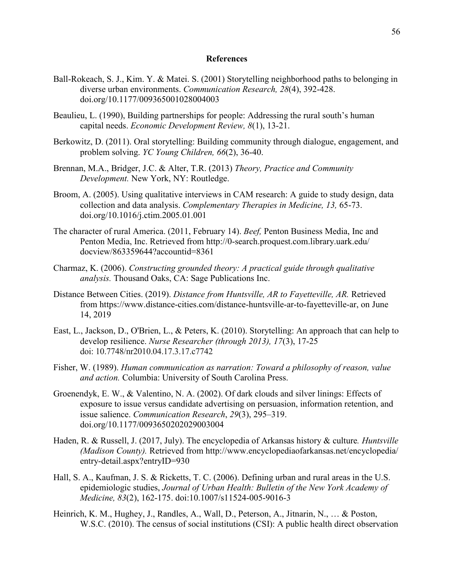#### **References**

- Ball-Rokeach, S. J., Kim. Y. & Matei. S. (2001) Storytelling neighborhood paths to belonging in diverse urban environments. *Communication Research, 28*(4), 392-428. doi.org/10.1177/009365001028004003
- Beaulieu, L. (1990), Building partnerships for people: Addressing the rural south's human capital needs. *Economic Development Review, 8*(1), 13-21.
- Berkowitz, D. (2011). Oral storytelling: Building community through dialogue, engagement, and problem solving. *YC Young Children, 66*(2), 36-40.
- Brennan, M.A., Bridger, J.C. & Alter, T.R. (2013) *Theory, Practice and Community Development.* New York, NY: Routledge.
- Broom, A. (2005). Using qualitative interviews in CAM research: A guide to study design, data collection and data analysis. *Complementary Therapies in Medicine, 13,* 65-73. doi.org/10.1016/j.ctim.2005.01.001
- The character of rural America. (2011, February 14). *Beef,* Penton Business Media, Inc and Penton Media, Inc. Retrieved from http://0-search.proquest.com.library.uark.edu/ docview/863359644?accountid=8361
- Charmaz, K. (2006). *Constructing grounded theory: A practical guide through qualitative analysis.* Thousand Oaks, CA: Sage Publications Inc.
- Distance Between Cities. (2019). *Distance from Huntsville, AR to Fayetteville, AR.* Retrieved from https://www.distance-cities.com/distance-huntsville-ar-to-fayetteville-ar, on June 14, 2019
- East, L., Jackson, D., O'Brien, L., & Peters, K. (2010). Storytelling: An approach that can help to develop resilience. *Nurse Researcher (through 2013), 17*(3), 17-25 doi: 10.7748/nr2010.04.17.3.17.c7742
- Fisher, W. (1989). *Human communication as narration: Toward a philosophy of reason, value and action.* Columbia: University of South Carolina Press.
- Groenendyk, E. W., & Valentino, N. A. (2002). Of dark clouds and silver linings: Effects of exposure to issue versus candidate advertising on persuasion, information retention, and issue salience. *Communication Research*, *29*(3), 295–319. doi.org/10.1177/0093650202029003004
- Haden, R. & Russell, J. (2017, July). The encyclopedia of Arkansas history & culture*. Huntsville (Madison County).* Retrieved from http://www.encyclopediaofarkansas.net/encyclopedia/ entry-detail.aspx?entryID=930
- Hall, S. A., Kaufman, J. S. & Ricketts, T. C. (2006). Defining urban and rural areas in the U.S. epidemiologic studies, *Journal of Urban Health: Bulletin of the New York Academy of Medicine, 83*(2), 162-175. doi:10.1007/s11524-005-9016-3
- Heinrich, K. M., Hughey, J., Randles, A., Wall, D., Peterson, A., Jitnarin, N., … & Poston, W.S.C. (2010). The census of social institutions (CSI): A public health direct observation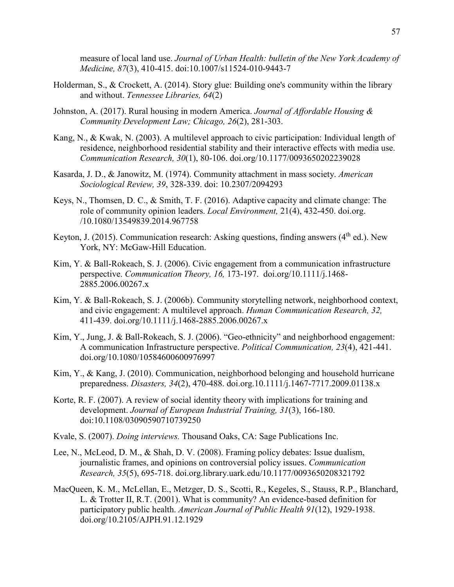measure of local land use. *Journal of Urban Health: bulletin of the New York Academy of Medicine, 87*(3), 410-415. doi:10.1007/s11524-010-9443-7

- Holderman, S., & Crockett, A. (2014). Story glue: Building one's community within the library and without. *Tennessee Libraries, 64*(2)
- Johnston, A. (2017). Rural housing in modern America. *Journal of Affordable Housing & Community Development Law; Chicago, 26*(2), 281-303.
- Kang, N., & Kwak, N. (2003). A multilevel approach to civic participation: Individual length of residence, neighborhood residential stability and their interactive effects with media use. *Communication Research, 30*(1), 80-106. doi.org/10.1177/0093650202239028
- Kasarda, J. D., & Janowitz, M. (1974). Community attachment in mass society. *American Sociological Review, 39*, 328-339. doi: 10.2307/2094293
- Keys, N., Thomsen, D. C., & Smith, T. F. (2016). Adaptive capacity and climate change: The role of community opinion leaders. *Local Environment,* 21(4), 432-450. doi.org. /10.1080/13549839.2014.967758
- Keyton, J. (2015). Communication research: Asking questions, finding answers  $(4<sup>th</sup>$  ed.). New York, NY: McGaw-Hill Education.
- Kim, Y. & Ball-Rokeach, S. J. (2006). Civic engagement from a communication infrastructure perspective. *Communication Theory, 16,* 173-197. doi.org/10.1111/j.1468- 2885.2006.00267.x
- Kim, Y. & Ball-Rokeach, S. J. (2006b). Community storytelling network, neighborhood context, and civic engagement: A multilevel approach. *Human Communication Research, 32,*  411-439. doi.org/10.1111/j.1468-2885.2006.00267.x
- Kim, Y., Jung, J. & Ball-Rokeach, S. J. (2006). "Geo-ethnicity" and neighborhood engagement: A communication Infrastructure perspective. *Political Communication, 23*(4), 421-441. doi.org/10.1080/10584600600976997
- Kim, Y., & Kang, J. (2010). Communication, neighborhood belonging and household hurricane preparedness. *Disasters, 34*(2), 470-488. doi.org.10.1111/j.1467-7717.2009.01138.x
- Korte, R. F. (2007). A review of social identity theory with implications for training and development. *Journal of European Industrial Training, 31*(3), 166-180. doi:10.1108/03090590710739250
- Kvale, S. (2007). *Doing interviews.* Thousand Oaks, CA: Sage Publications Inc.
- Lee, N., McLeod, D. M., & Shah, D. V. (2008). Framing policy debates: Issue dualism, journalistic frames, and opinions on controversial policy issues. *Communication Research, 35*(5), 695-718. doi.org.library.uark.edu/10.1177/0093650208321792
- MacQueen, K. M., McLellan, E., Metzger, D. S., Scotti, R., Kegeles, S., Stauss, R.P., Blanchard, L. & Trotter II, R.T. (2001). What is community? An evidence-based definition for participatory public health. *American Journal of Public Health 91*(12), 1929-1938. doi.org/10.2105/AJPH.91.12.1929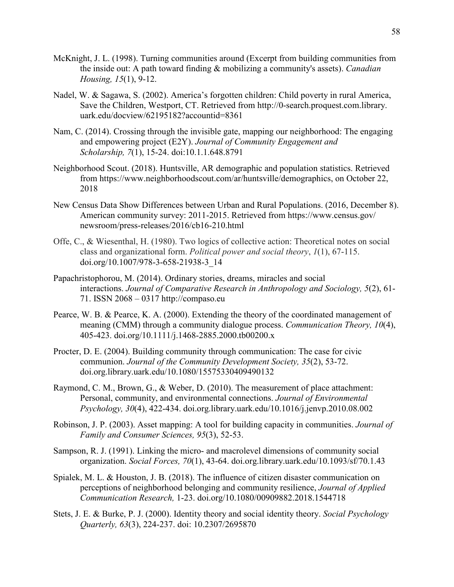- McKnight, J. L. (1998). Turning communities around (Excerpt from building communities from the inside out: A path toward finding & mobilizing a community's assets). *Canadian Housing, 15*(1), 9-12.
- Nadel, W. & Sagawa, S. (2002). America's forgotten children: Child poverty in rural America, Save the Children, Westport, CT. Retrieved from http://0-search.proquest.com.library. uark.edu/docview/62195182?accountid=8361
- Nam, C. (2014). Crossing through the invisible gate, mapping our neighborhood: The engaging and empowering project (E2Y). *Journal of Community Engagement and Scholarship, 7*(1), 15-24. doi:10.1.1.648.8791
- Neighborhood Scout. (2018). Huntsville, AR demographic and population statistics. Retrieved from https://www.neighborhoodscout.com/ar/huntsville/demographics, on October 22, 2018
- New Census Data Show Differences between Urban and Rural Populations. (2016, December 8). American community survey: 2011-2015. Retrieved from https://www.census.gov/ newsroom/press-releases/2016/cb16-210.html
- Offe, C., & Wiesenthal, H. (1980). Two logics of collective action: Theoretical notes on social class and organizational form. *Political power and social theory*, *1*(1), 67-115. doi.org/10.1007/978-3-658-21938-3\_14
- Papachristophorou, M. (2014). Ordinary stories, dreams, miracles and social interactions. *Journal of Comparative Research in Anthropology and Sociology, 5*(2), 61- 71. ISSN 2068 – 0317 http://compaso.eu
- Pearce, W. B. & Pearce, K. A. (2000). Extending the theory of the coordinated management of meaning (CMM) through a community dialogue process. *Communication Theory, 10*(4), 405-423. doi.org/10.1111/j.1468-2885.2000.tb00200.x
- Procter, D. E. (2004). Building community through communication: The case for civic communion. *Journal of the Community Development Society, 35*(2), 53-72. doi.org.library.uark.edu/10.1080/15575330409490132
- Raymond, C. M., Brown, G., & Weber, D. (2010). The measurement of place attachment: Personal, community, and environmental connections. *Journal of Environmental Psychology, 30*(4), 422-434. doi.org.library.uark.edu/10.1016/j.jenvp.2010.08.002
- Robinson, J. P. (2003). Asset mapping: A tool for building capacity in communities. *Journal of Family and Consumer Sciences, 95*(3), 52-53.
- Sampson, R. J. (1991). Linking the micro- and macrolevel dimensions of community social organization. *Social Forces, 70*(1), 43-64. doi.org.library.uark.edu/10.1093/sf/70.1.43
- Spialek, M. L. & Houston, J. B. (2018). The influence of citizen disaster communication on perceptions of neighborhood belonging and community resilience, *Journal of Applied Communication Research,* 1-23. doi.org/10.1080/00909882.2018.1544718
- Stets, J. E. & Burke, P. J. (2000). Identity theory and social identity theory. *Social Psychology Quarterly, 63*(3), 224-237. doi: 10.2307/2695870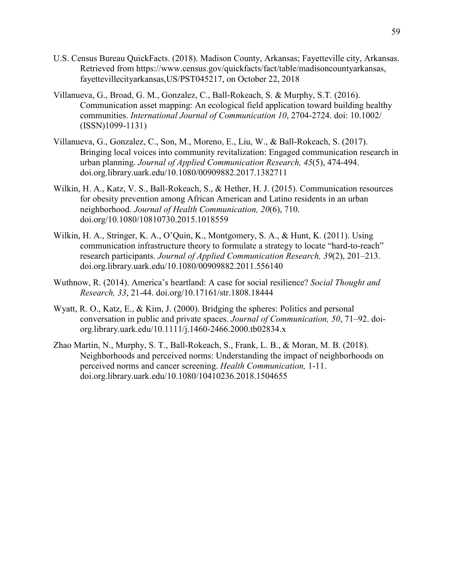- U.S. Census Bureau QuickFacts. (2018). Madison County, Arkansas; Fayetteville city, Arkansas. Retrieved from https://www.census.gov/quickfacts/fact/table/madisoncountyarkansas, fayettevillecityarkansas,US/PST045217, on October 22, 2018
- Villanueva, G., Broad, G. M., Gonzalez, C., Ball-Rokeach, S. & Murphy, S.T. (2016). Communication asset mapping: An ecological field application toward building healthy communities. *International Journal of Communication 10*, 2704-2724. doi: 10.1002/ (ISSN)1099-1131)
- Villanueva, G., Gonzalez, C., Son, M., Moreno, E., Liu, W., & Ball-Rokeach, S. (2017). Bringing local voices into community revitalization: Engaged communication research in urban planning. *Journal of Applied Communication Research, 45*(5), 474-494. doi.org.library.uark.edu/10.1080/00909882.2017.1382711
- Wilkin, H. A., Katz, V. S., Ball-Rokeach, S., & Hether, H. J. (2015). Communication resources for obesity prevention among African American and Latino residents in an urban neighborhood. *Journal of Health Communication, 20*(6), 710. doi.org/10.1080/10810730.2015.1018559
- Wilkin, H. A., Stringer, K. A., O'Quin, K., Montgomery, S. A., & Hunt, K. (2011). Using communication infrastructure theory to formulate a strategy to locate "hard-to-reach" research participants. *Journal of Applied Communication Research, 39*(2), 201–213. doi.org.library.uark.edu/10.1080/00909882.2011.556140
- Wuthnow, R. (2014). America's heartland: A case for social resilience? *Social Thought and Research, 33*, 21-44. doi.org/10.17161/str.1808.18444
- Wyatt, R. O., Katz, E., & Kim, J. (2000). Bridging the spheres: Politics and personal conversation in public and private spaces. *Journal of Communication, 50*, 71–92. doi org.library.uark.edu/10.1111/j.1460-2466.2000.tb02834.x
- Zhao Martin, N., Murphy, S. T., Ball-Rokeach, S., Frank, L. B., & Moran, M. B. (2018). Neighborhoods and perceived norms: Understanding the impact of neighborhoods on perceived norms and cancer screening. *Health Communication,* 1-11. doi.org.library.uark.edu/10.1080/10410236.2018.1504655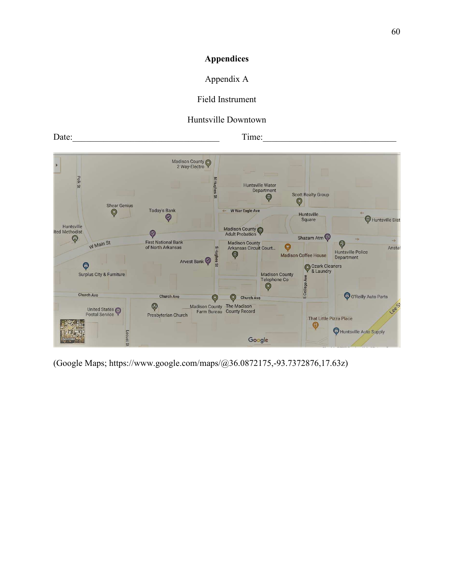# **Appendices**

# Appendix A

# Field Instrument

# Huntsville Downtown

Date:  $\frac{1}{2}$  Time:  $\frac{1}{2}$  Time:



(Google Maps; https://www.google.com/maps/@36.0872175,-93.7372876,17.63z)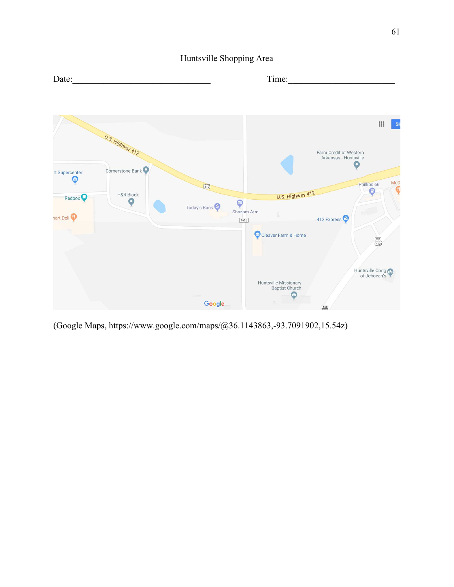Huntsville Shopping Area



(Google Maps, https://www.google.com/maps/@36.1143863,-93.7091902,15.54z)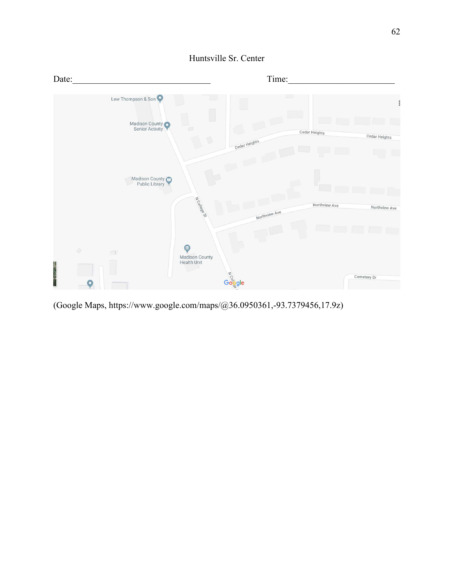

Huntsville Sr. Center

(Google Maps, https://www.google.com/maps/@36.0950361,-93.7379456,17.9z)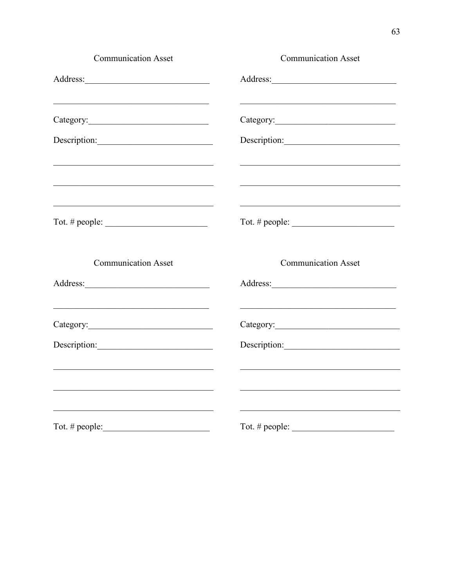| <b>Communication Asset</b>                                                                                                                                                                                                                    | <b>Communication Asset</b>                                                                                            |
|-----------------------------------------------------------------------------------------------------------------------------------------------------------------------------------------------------------------------------------------------|-----------------------------------------------------------------------------------------------------------------------|
|                                                                                                                                                                                                                                               |                                                                                                                       |
| <u> 1989 - Johann John Stein, markin film yn y brening yn y brening y de yn y brening yn y brening yn y brening y</u>                                                                                                                         | <u> 1989 - Johann John Barn, martin de francez (h. 1989).</u>                                                         |
|                                                                                                                                                                                                                                               | Description:                                                                                                          |
| <u> 1989 - Johann John Barn, mars an deus an deus an deus an deus an deus an deus an deus an deus an deus an deu</u><br><u> 1989 - Johann John Stein, markin fan it fjort fan it fjort fan it fjort fan it fjort fan it fjort fan it fjor</u> |                                                                                                                       |
| <u> 1989 - Johann John Stein, mars an deus Amerikaansk kommunister (</u><br>Tot. # people: $\qquad \qquad$                                                                                                                                    | Tot. # people: $\_\_$                                                                                                 |
| <b>Communication Asset</b>                                                                                                                                                                                                                    | <b>Communication Asset</b>                                                                                            |
|                                                                                                                                                                                                                                               |                                                                                                                       |
| <u> 1989 - Johann John Stoff, deutscher Stoffen und der Stoffen und der Stoffen und der Stoffen und der Stoffen u</u>                                                                                                                         | <u> 1989 - Johann Barbara, margaret eta idazlea (h. 1989).</u>                                                        |
| Description:                                                                                                                                                                                                                                  | Description:                                                                                                          |
| <u> 2002 - Jan James James James James James James James James James James James James James James James James J</u><br><u> 2008 - Jan Barnett, mars et al. (b. 1982)</u>                                                                     | <u> 1989 - Johann Harry Harry Harry Harry Harry Harry Harry Harry Harry Harry Harry Harry Harry Harry Harry Harry</u> |
| <u> 1989 - Johann Barbara, martxa amerikan bashkar (</u><br>Tot. # people:                                                                                                                                                                    | Tot. # people:                                                                                                        |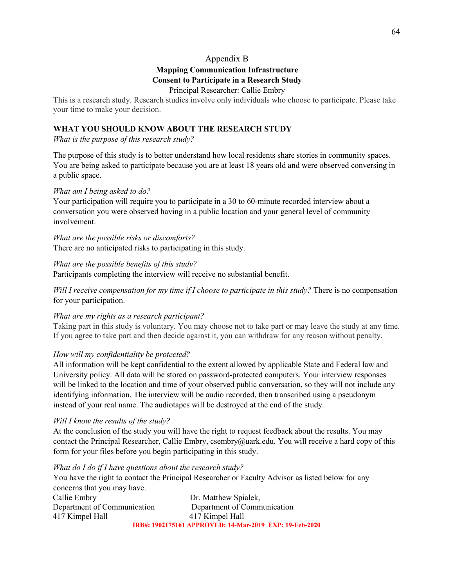## Appendix B

# **Mapping Communication Infrastructure**

## **Consent to Participate in a Research Study**

### Principal Researcher: Callie Embry

This is a research study. Research studies involve only individuals who choose to participate. Please take your time to make your decision.

## **WHAT YOU SHOULD KNOW ABOUT THE RESEARCH STUDY**

*What is the purpose of this research study?* 

The purpose of this study is to better understand how local residents share stories in community spaces. You are being asked to participate because you are at least 18 years old and were observed conversing in a public space.

### *What am I being asked to do?*

Your participation will require you to participate in a 30 to 60-minute recorded interview about a conversation you were observed having in a public location and your general level of community involvement.

*What are the possible risks or discomforts?*  There are no anticipated risks to participating in this study.

*What are the possible benefits of this study?*  Participants completing the interview will receive no substantial benefit.

*Will I receive compensation for my time if I choose to participate in this study?* There is no compensation for your participation.

### *What are my rights as a research participant?*

Taking part in this study is voluntary. You may choose not to take part or may leave the study at any time. If you agree to take part and then decide against it, you can withdraw for any reason without penalty.

# *How will my confidentiality be protected?*

All information will be kept confidential to the extent allowed by applicable State and Federal law and University policy. All data will be stored on password-protected computers. Your interview responses will be linked to the location and time of your observed public conversation, so they will not include any identifying information. The interview will be audio recorded, then transcribed using a pseudonym instead of your real name. The audiotapes will be destroyed at the end of the study.

### *Will I know the results of the study?*

At the conclusion of the study you will have the right to request feedback about the results. You may contact the Principal Researcher, Callie Embry, csembry@uark.edu. You will receive a hard copy of this form for your files before you begin participating in this study.

### *What do I do if I have questions about the research study?*

You have the right to contact the Principal Researcher or Faculty Advisor as listed below for any concerns that you may have.

Callie Embry Dr. Matthew Spialek, Department of Communication Department of Communication 417 Kimpel Hall 417 Kimpel Hall **IRB#: 1902175161 APPROVED: 14-Mar-2019 EXP: 19-Feb-2020**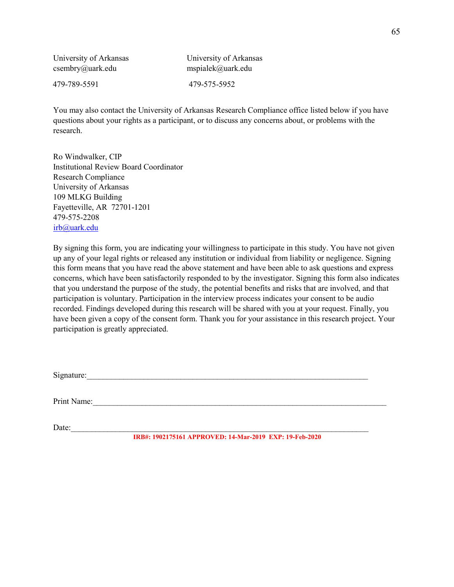| University of Arkansas | University of Arkansas |
|------------------------|------------------------|
| $c$ sembry@uark.edu    | mspialek@uark.edu      |
| 479-789-5591           | 479-575-5952           |

You may also contact the University of Arkansas Research Compliance office listed below if you have questions about your rights as a participant, or to discuss any concerns about, or problems with the research.

Ro Windwalker, CIP Institutional Review Board Coordinator Research Compliance University of Arkansas 109 MLKG Building Fayetteville, AR 72701-1201 479-575-2208 irb@uark.edu

By signing this form, you are indicating your willingness to participate in this study. You have not given up any of your legal rights or released any institution or individual from liability or negligence. Signing this form means that you have read the above statement and have been able to ask questions and express concerns, which have been satisfactorily responded to by the investigator. Signing this form also indicates that you understand the purpose of the study, the potential benefits and risks that are involved, and that participation is voluntary. Participation in the interview process indicates your consent to be audio recorded. Findings developed during this research will be shared with you at your request. Finally, you have been given a copy of the consent form. Thank you for your assistance in this research project. Your participation is greatly appreciated.

 $Signature:$ 

Print Name:

Date:  $\Box$ 

**IRB#: 1902175161 APPROVED: 14-Mar-2019 EXP: 19-Feb-2020**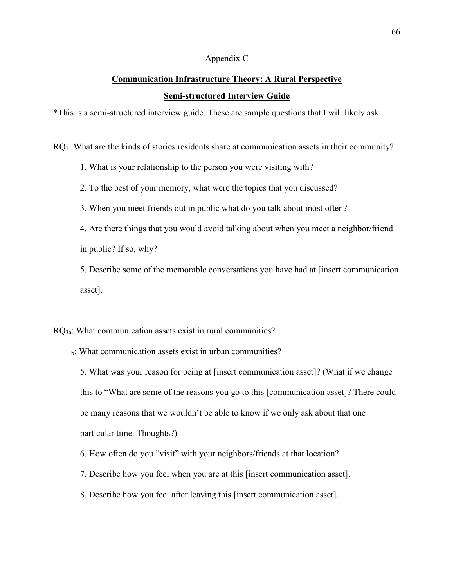### Appendix C

# **Communication Infrastructure Theory: A Rural Perspective Semi-structured Interview Guide**

\*This is a semi-structured interview guide. These are sample questions that I will likely ask.

RQ1: What are the kinds of stories residents share at communication assets in their community?

1. What is your relationship to the person you were visiting with?

2. To the best of your memory, what were the topics that you discussed?

3. When you meet friends out in public what do you talk about most often?

4. Are there things that you would avoid talking about when you meet a neighbor/friend in public? If so, why?

5. Describe some of the memorable conversations you have had at [insert communication asset].

RQ3a: What communication assets exist in rural communities?

b: What communication assets exist in urban communities?

5. What was your reason for being at [insert communication asset]? (What if we change this to "What are some of the reasons you go to this [communication asset]? There could be many reasons that we wouldn't be able to know if we only ask about that one particular time. Thoughts?)

6. How often do you "visit" with your neighbors/friends at that location?

7. Describe how you feel when you are at this [insert communication asset].

8. Describe how you feel after leaving this [insert communication asset].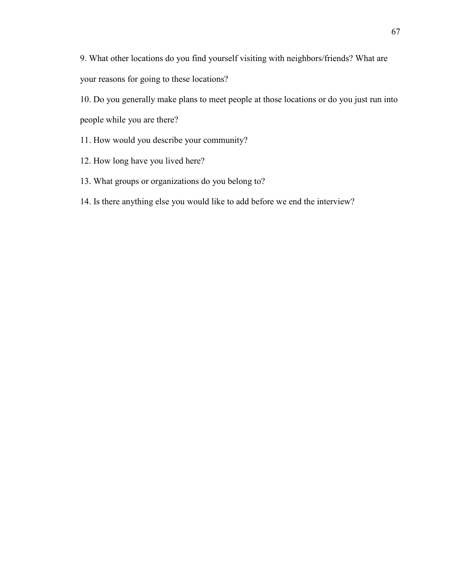9. What other locations do you find yourself visiting with neighbors/friends? What are your reasons for going to these locations?

10. Do you generally make plans to meet people at those locations or do you just run into people while you are there?

- 11. How would you describe your community?
- 12. How long have you lived here?
- 13. What groups or organizations do you belong to?
- 14. Is there anything else you would like to add before we end the interview?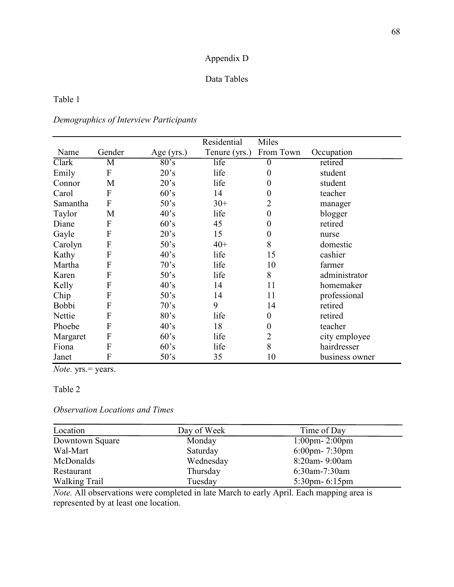# Appendix D

### Data Tables

## Table 1

# *Demographics of Interview Participants*

|              |        |                | Residential   | Miles            |                |
|--------------|--------|----------------|---------------|------------------|----------------|
| Name         | Gender | Age $(yrs.)$   | Tenure (yrs.) | From Town        | Occupation     |
| Clark        | M      | 80's           | life          | 0                | retired        |
| Emily        | F      | 20's           | life          | $\boldsymbol{0}$ | student        |
| Connor       | M      | 20's           | life          | $\boldsymbol{0}$ | student        |
| Carol        | F      | 60's           | 14            | $\boldsymbol{0}$ | teacher        |
| Samantha     | F      | 50's           | $30+$         | 2                | manager        |
| Taylor       | M      | 40's           | life          | $\boldsymbol{0}$ | blogger        |
| Diane        | F      | 60's           | 45            | $\boldsymbol{0}$ | retired        |
| Gayle        | F      | 20's           | 15            | $\boldsymbol{0}$ | nurse          |
| Carolyn      | F      | 50's           | $40+$         | 8                | domestic       |
| Kathy        | F      | 40's           | life          | 15               | cashier        |
| Martha       | F      | 70's           | life          | 10               | farmer         |
| Karen        | F      | 50's           | life          | 8                | administrator  |
| Kelly        | F      | 40's           | 14            | 11               | homemaker      |
| Chip         | F      | 50's           | 14            | 11               | professional   |
| <b>Bobbi</b> | F      | 70's           | 9             | 14               | retired        |
| Nettie       | F      | 80's           | life          | $\boldsymbol{0}$ | retired        |
| Phoebe       | F      | $40^{\circ}$ s | 18            | $\boldsymbol{0}$ | teacher        |
| Margaret     | F      | 60's           | life          | $\overline{c}$   | city employee  |
| Fiona        | F      | 60's           | life          | 8                | hairdresser    |
| Janet        | F      | 50's           | 35            | 10               | business owner |

*Note.* yrs.= years.

#### Table 2

## *Observation Locations and Times*

| Location             | Day of Week | Time of Day                       |
|----------------------|-------------|-----------------------------------|
| Downtown Square      | Monday      | $1:00 \text{pm} - 2:00 \text{pm}$ |
| Wal-Mart             | Saturday    | $6:00$ pm- 7:30pm                 |
| McDonalds            | Wednesday   | 8:20am-9:00am                     |
| Restaurant           | Thursday    | 6:30am-7:30am                     |
| <b>Walking Trail</b> | Tuesday     | $5:30$ pm- $6:15$ pm              |

*Note.* All observations were completed in late March to early April. Each mapping area is represented by at least one location.